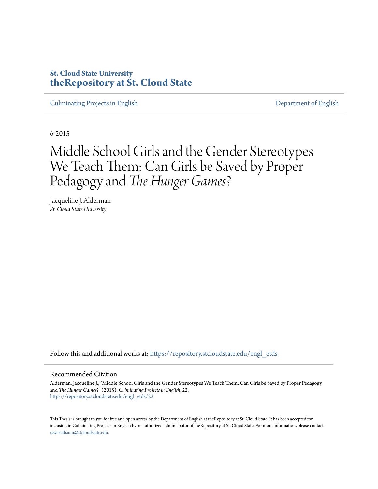# **St. Cloud State University [theRepository at St. Cloud State](https://repository.stcloudstate.edu?utm_source=repository.stcloudstate.edu%2Fengl_etds%2F22&utm_medium=PDF&utm_campaign=PDFCoverPages)**

[Culminating Projects in English](https://repository.stcloudstate.edu/engl_etds?utm_source=repository.stcloudstate.edu%2Fengl_etds%2F22&utm_medium=PDF&utm_campaign=PDFCoverPages) [Department of English](https://repository.stcloudstate.edu/engl?utm_source=repository.stcloudstate.edu%2Fengl_etds%2F22&utm_medium=PDF&utm_campaign=PDFCoverPages)

6-2015

# Middle School Girls and the Gender Stereotypes We Teach Them: Can Girls be Saved by Proper Pedagogy and *The Hunger Games*?

Jacqueline J. Alderman *St. Cloud State University*

Follow this and additional works at: [https://repository.stcloudstate.edu/engl\\_etds](https://repository.stcloudstate.edu/engl_etds?utm_source=repository.stcloudstate.edu%2Fengl_etds%2F22&utm_medium=PDF&utm_campaign=PDFCoverPages)

## Recommended Citation

Alderman, Jacqueline J., "Middle School Girls and the Gender Stereotypes We Teach Them: Can Girls be Saved by Proper Pedagogy and *The Hunger Games*?" (2015). *Culminating Projects in English*. 22. [https://repository.stcloudstate.edu/engl\\_etds/22](https://repository.stcloudstate.edu/engl_etds/22?utm_source=repository.stcloudstate.edu%2Fengl_etds%2F22&utm_medium=PDF&utm_campaign=PDFCoverPages)

This Thesis is brought to you for free and open access by the Department of English at theRepository at St. Cloud State. It has been accepted for inclusion in Culminating Projects in English by an authorized administrator of theRepository at St. Cloud State. For more information, please contact [rswexelbaum@stcloudstate.edu](mailto:rswexelbaum@stcloudstate.edu).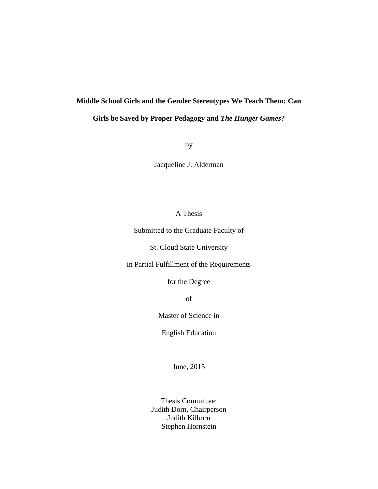# **Middle School Girls and the Gender Stereotypes We Teach Them: Can**

## **Girls be Saved by Proper Pedagogy and** *The Hunger Games***?**

by

Jacqueline J. Alderman

## A Thesis

Submitted to the Graduate Faculty of

St. Cloud State University

in Partial Fulfillment of the Requirements

for the Degree

of

Master of Science in

English Education

June, 2015

Thesis Committee: Judith Dorn, Chairperson Judith Kilborn Stephen Hornstein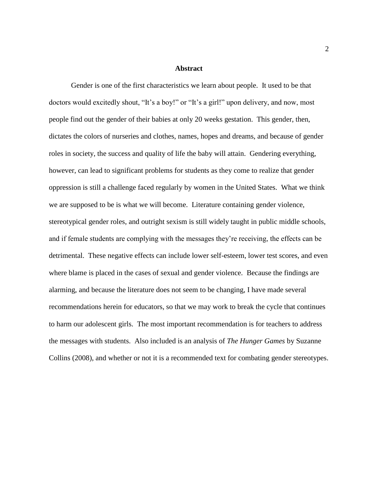### **Abstract**

Gender is one of the first characteristics we learn about people. It used to be that doctors would excitedly shout, "It's a boy!" or "It's a girl!" upon delivery, and now, most people find out the gender of their babies at only 20 weeks gestation. This gender, then, dictates the colors of nurseries and clothes, names, hopes and dreams, and because of gender roles in society, the success and quality of life the baby will attain. Gendering everything, however, can lead to significant problems for students as they come to realize that gender oppression is still a challenge faced regularly by women in the United States. What we think we are supposed to be is what we will become. Literature containing gender violence, stereotypical gender roles, and outright sexism is still widely taught in public middle schools, and if female students are complying with the messages they're receiving, the effects can be detrimental. These negative effects can include lower self-esteem, lower test scores, and even where blame is placed in the cases of sexual and gender violence. Because the findings are alarming, and because the literature does not seem to be changing, I have made several recommendations herein for educators, so that we may work to break the cycle that continues to harm our adolescent girls. The most important recommendation is for teachers to address the messages with students. Also included is an analysis of *The Hunger Games* by Suzanne Collins (2008), and whether or not it is a recommended text for combating gender stereotypes.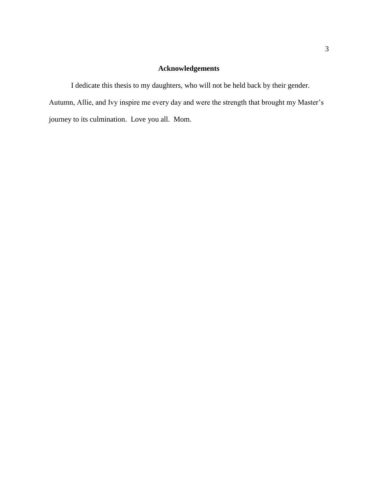## **Acknowledgements**

I dedicate this thesis to my daughters, who will not be held back by their gender. Autumn, Allie, and Ivy inspire me every day and were the strength that brought my Master's journey to its culmination. Love you all. Mom.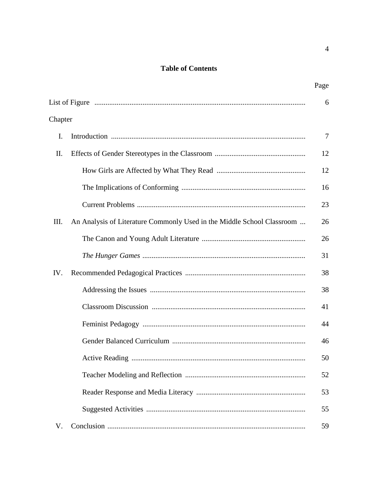# **Table of Contents**

| Chapter |                                                                        |    |
|---------|------------------------------------------------------------------------|----|
| I.      |                                                                        | 7  |
| II.     |                                                                        | 12 |
|         |                                                                        | 12 |
|         |                                                                        | 16 |
|         |                                                                        | 23 |
| Ш.      | An Analysis of Literature Commonly Used in the Middle School Classroom | 26 |
|         |                                                                        | 26 |
|         |                                                                        | 31 |
| IV.     |                                                                        | 38 |
|         |                                                                        | 38 |
|         |                                                                        | 41 |
|         |                                                                        | 44 |
|         |                                                                        | 46 |
|         |                                                                        | 50 |
|         |                                                                        | 52 |
|         |                                                                        | 53 |
|         |                                                                        | 55 |
| V.      |                                                                        | 59 |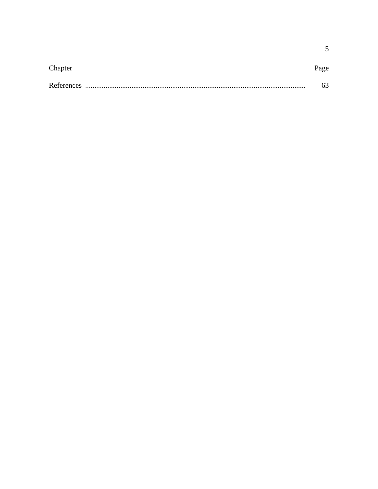| Chapter |  |
|---------|--|
|         |  |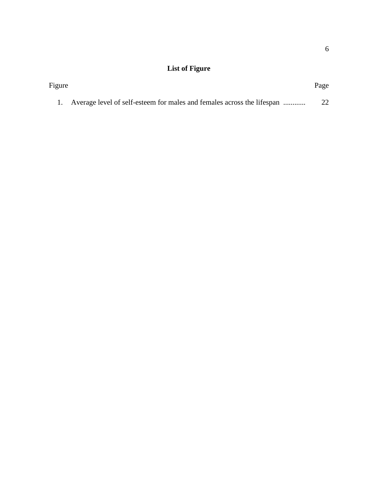# **List of Figure**

| Figure |                                                                           | Page |  |
|--------|---------------------------------------------------------------------------|------|--|
|        | 1. Average level of self-esteem for males and females across the lifespan |      |  |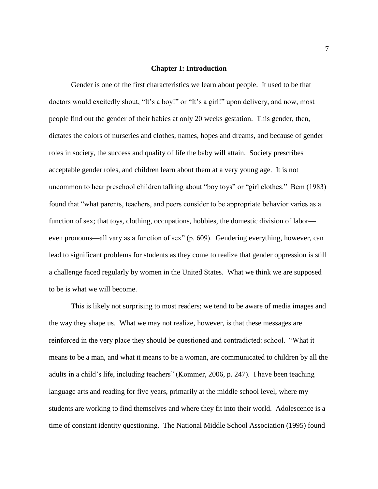### **Chapter I: Introduction**

Gender is one of the first characteristics we learn about people. It used to be that doctors would excitedly shout, "It's a boy!" or "It's a girl!" upon delivery, and now, most people find out the gender of their babies at only 20 weeks gestation. This gender, then, dictates the colors of nurseries and clothes, names, hopes and dreams, and because of gender roles in society, the success and quality of life the baby will attain. Society prescribes acceptable gender roles, and children learn about them at a very young age. It is not uncommon to hear preschool children talking about "boy toys" or "girl clothes." Bem (1983) found that "what parents, teachers, and peers consider to be appropriate behavior varies as a function of sex; that toys, clothing, occupations, hobbies, the domestic division of labor even pronouns—all vary as a function of sex" (p. 609). Gendering everything, however, can lead to significant problems for students as they come to realize that gender oppression is still a challenge faced regularly by women in the United States. What we think we are supposed to be is what we will become.

This is likely not surprising to most readers; we tend to be aware of media images and the way they shape us. What we may not realize, however, is that these messages are reinforced in the very place they should be questioned and contradicted: school. "What it means to be a man, and what it means to be a woman, are communicated to children by all the adults in a child's life, including teachers" (Kommer, 2006, p. 247). I have been teaching language arts and reading for five years, primarily at the middle school level, where my students are working to find themselves and where they fit into their world. Adolescence is a time of constant identity questioning. The National Middle School Association (1995) found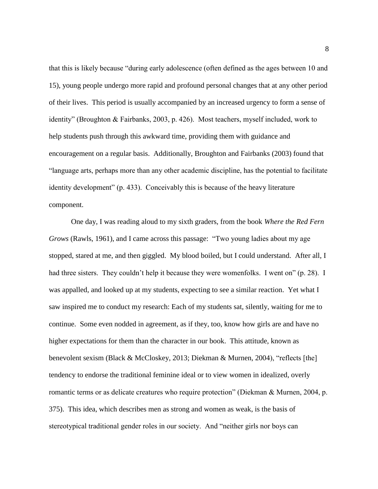that this is likely because "during early adolescence (often defined as the ages between 10 and 15), young people undergo more rapid and profound personal changes that at any other period of their lives. This period is usually accompanied by an increased urgency to form a sense of identity" (Broughton & Fairbanks, 2003, p. 426). Most teachers, myself included, work to help students push through this awkward time, providing them with guidance and encouragement on a regular basis. Additionally, Broughton and Fairbanks (2003) found that "language arts, perhaps more than any other academic discipline, has the potential to facilitate identity development" (p. 433). Conceivably this is because of the heavy literature component.

One day, I was reading aloud to my sixth graders, from the book *Where the Red Fern Grows* (Rawls, 1961), and I came across this passage: "Two young ladies about my age stopped, stared at me, and then giggled. My blood boiled, but I could understand. After all, I had three sisters. They couldn't help it because they were womenfolks. I went on" (p. 28). I was appalled, and looked up at my students, expecting to see a similar reaction. Yet what I saw inspired me to conduct my research: Each of my students sat, silently, waiting for me to continue. Some even nodded in agreement, as if they, too, know how girls are and have no higher expectations for them than the character in our book. This attitude, known as benevolent sexism (Black & McCloskey, 2013; Diekman & Murnen, 2004), "reflects [the] tendency to endorse the traditional feminine ideal or to view women in idealized, overly romantic terms or as delicate creatures who require protection" (Diekman & Murnen, 2004, p. 375). This idea, which describes men as strong and women as weak, is the basis of stereotypical traditional gender roles in our society. And "neither girls nor boys can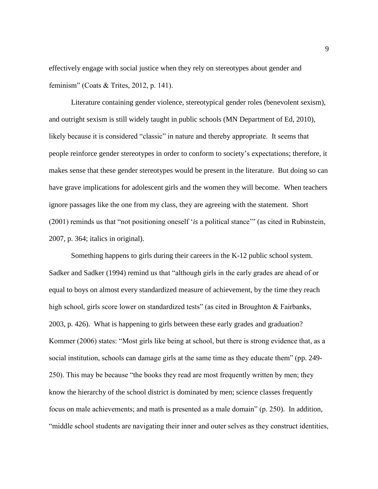effectively engage with social justice when they rely on stereotypes about gender and feminism" (Coats & Trites, 2012, p. 141).

Literature containing gender violence, stereotypical gender roles (benevolent sexism), and outright sexism is still widely taught in public schools (MN Department of Ed, 2010), likely because it is considered "classic" in nature and thereby appropriate. It seems that people reinforce gender stereotypes in order to conform to society's expectations; therefore, it makes sense that these gender stereotypes would be present in the literature. But doing so can have grave implications for adolescent girls and the women they will become. When teachers ignore passages like the one from my class, they are agreeing with the statement. Short (2001) reminds us that "not positioning oneself '*is* a political stance'" (as cited in Rubinstein, 2007, p. 364; italics in original).

Something happens to girls during their careers in the K-12 public school system. Sadker and Sadker (1994) remind us that "although girls in the early grades are ahead of or equal to boys on almost every standardized measure of achievement, by the time they reach high school, girls score lower on standardized tests" (as cited in Broughton & Fairbanks, 2003, p. 426). What is happening to girls between these early grades and graduation? Kommer (2006) states: "Most girls like being at school, but there is strong evidence that, as a social institution, schools can damage girls at the same time as they educate them" (pp. 249- 250). This may be because "the books they read are most frequently written by men; they know the hierarchy of the school district is dominated by men; science classes frequently focus on male achievements; and math is presented as a male domain" (p. 250). In addition, "middle school students are navigating their inner and outer selves as they construct identities,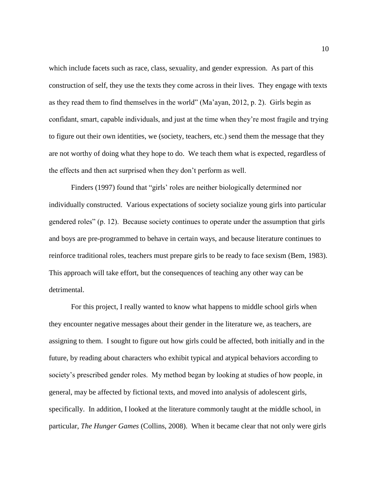which include facets such as race, class, sexuality, and gender expression. As part of this construction of self, they use the texts they come across in their lives. They engage with texts as they read them to find themselves in the world" (Ma'ayan, 2012, p. 2). Girls begin as confidant, smart, capable individuals, and just at the time when they're most fragile and trying to figure out their own identities, we (society, teachers, etc.) send them the message that they are not worthy of doing what they hope to do. We teach them what is expected, regardless of the effects and then act surprised when they don't perform as well.

Finders (1997) found that "girls' roles are neither biologically determined nor individually constructed. Various expectations of society socialize young girls into particular gendered roles" (p. 12). Because society continues to operate under the assumption that girls and boys are pre-programmed to behave in certain ways, and because literature continues to reinforce traditional roles, teachers must prepare girls to be ready to face sexism (Bem, 1983). This approach will take effort, but the consequences of teaching any other way can be detrimental.

For this project, I really wanted to know what happens to middle school girls when they encounter negative messages about their gender in the literature we, as teachers, are assigning to them. I sought to figure out how girls could be affected, both initially and in the future, by reading about characters who exhibit typical and atypical behaviors according to society's prescribed gender roles. My method began by looking at studies of how people, in general, may be affected by fictional texts, and moved into analysis of adolescent girls, specifically. In addition, I looked at the literature commonly taught at the middle school, in particular, *The Hunger Games* (Collins, 2008). When it became clear that not only were girls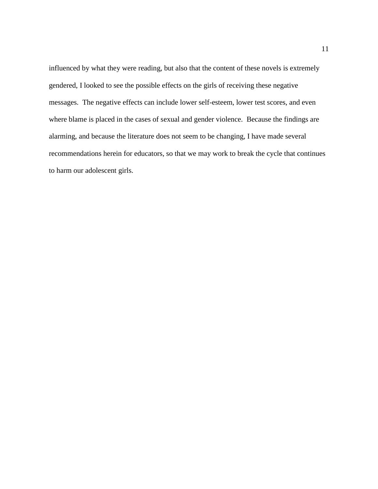influenced by what they were reading, but also that the content of these novels is extremely gendered, I looked to see the possible effects on the girls of receiving these negative messages. The negative effects can include lower self-esteem, lower test scores, and even where blame is placed in the cases of sexual and gender violence. Because the findings are alarming, and because the literature does not seem to be changing, I have made several recommendations herein for educators, so that we may work to break the cycle that continues to harm our adolescent girls.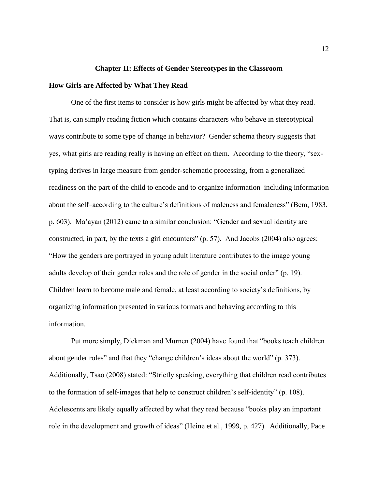## **Chapter II: Effects of Gender Stereotypes in the Classroom**

## **How Girls are Affected by What They Read**

One of the first items to consider is how girls might be affected by what they read. That is, can simply reading fiction which contains characters who behave in stereotypical ways contribute to some type of change in behavior? Gender schema theory suggests that yes, what girls are reading really is having an effect on them. According to the theory, "sextyping derives in large measure from gender-schematic processing, from a generalized readiness on the part of the child to encode and to organize information–including information about the self–according to the culture's definitions of maleness and femaleness" (Bem, 1983, p. 603). Ma'ayan (2012) came to a similar conclusion: "Gender and sexual identity are constructed, in part, by the texts a girl encounters" (p. 57). And Jacobs (2004) also agrees: "How the genders are portrayed in young adult literature contributes to the image young adults develop of their gender roles and the role of gender in the social order" (p. 19). Children learn to become male and female, at least according to society's definitions, by organizing information presented in various formats and behaving according to this information.

Put more simply, Diekman and Murnen (2004) have found that "books teach children about gender roles" and that they "change children's ideas about the world" (p. 373). Additionally, Tsao (2008) stated: "Strictly speaking, everything that children read contributes to the formation of self-images that help to construct children's self-identity" (p. 108). Adolescents are likely equally affected by what they read because "books play an important role in the development and growth of ideas" (Heine et al., 1999, p. 427). Additionally, Pace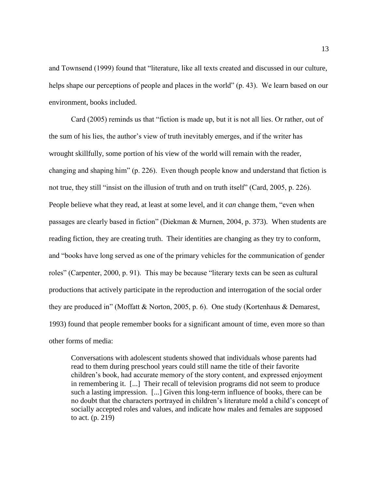and Townsend (1999) found that "literature, like all texts created and discussed in our culture, helps shape our perceptions of people and places in the world" (p. 43). We learn based on our environment, books included.

Card (2005) reminds us that "fiction is made up, but it is not all lies. Or rather, out of the sum of his lies, the author's view of truth inevitably emerges, and if the writer has wrought skillfully, some portion of his view of the world will remain with the reader, changing and shaping him" (p. 226). Even though people know and understand that fiction is not true, they still "insist on the illusion of truth and on truth itself" (Card, 2005, p. 226). People believe what they read, at least at some level, and it *can* change them, "even when passages are clearly based in fiction" (Diekman & Murnen, 2004, p. 373). When students are reading fiction, they are creating truth. Their identities are changing as they try to conform, and "books have long served as one of the primary vehicles for the communication of gender roles" (Carpenter, 2000, p. 91). This may be because "literary texts can be seen as cultural productions that actively participate in the reproduction and interrogation of the social order they are produced in" (Moffatt & Norton, 2005, p. 6). One study (Kortenhaus & Demarest, 1993) found that people remember books for a significant amount of time, even more so than other forms of media:

Conversations with adolescent students showed that individuals whose parents had read to them during preschool years could still name the title of their favorite children's book, had accurate memory of the story content, and expressed enjoyment in remembering it. [...] Their recall of television programs did not seem to produce such a lasting impression. [...] Given this long-term influence of books, there can be no doubt that the characters portrayed in children's literature mold a child's concept of socially accepted roles and values, and indicate how males and females are supposed to act. (p. 219)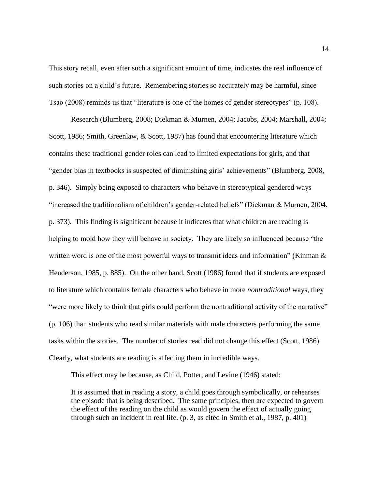This story recall, even after such a significant amount of time, indicates the real influence of such stories on a child's future. Remembering stories so accurately may be harmful, since Tsao (2008) reminds us that "literature is one of the homes of gender stereotypes" (p. 108).

Research (Blumberg, 2008; Diekman & Murnen, 2004; Jacobs, 2004; Marshall, 2004; Scott, 1986; Smith, Greenlaw, & Scott, 1987) has found that encountering literature which contains these traditional gender roles can lead to limited expectations for girls, and that "gender bias in textbooks is suspected of diminishing girls' achievements" (Blumberg, 2008, p. 346). Simply being exposed to characters who behave in stereotypical gendered ways "increased the traditionalism of children's gender-related beliefs" (Diekman & Murnen, 2004, p. 373). This finding is significant because it indicates that what children are reading is helping to mold how they will behave in society. They are likely so influenced because "the written word is one of the most powerful ways to transmit ideas and information" (Kinman & Henderson, 1985, p. 885). On the other hand, Scott (1986) found that if students are exposed to literature which contains female characters who behave in more *nontraditional* ways, they "were more likely to think that girls could perform the nontraditional activity of the narrative" (p. 106) than students who read similar materials with male characters performing the same tasks within the stories. The number of stories read did not change this effect (Scott, 1986). Clearly, what students are reading is affecting them in incredible ways.

This effect may be because, as Child, Potter, and Levine (1946) stated:

It is assumed that in reading a story, a child goes through symbolically, or rehearses the episode that is being described. The same principles, then are expected to govern the effect of the reading on the child as would govern the effect of actually going through such an incident in real life. (p. 3, as cited in Smith et al., 1987, p. 401)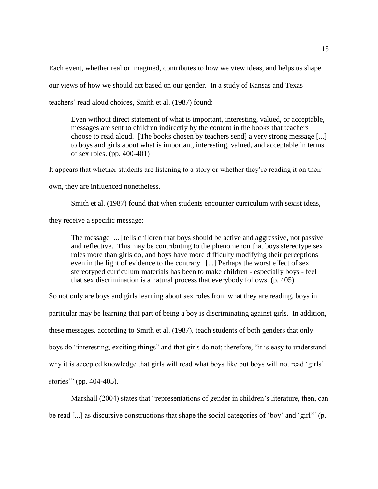Each event, whether real or imagined, contributes to how we view ideas, and helps us shape our views of how we should act based on our gender. In a study of Kansas and Texas teachers' read aloud choices, Smith et al. (1987) found:

Even without direct statement of what is important, interesting, valued, or acceptable, messages are sent to children indirectly by the content in the books that teachers choose to read aloud. [The books chosen by teachers send] a very strong message [...] to boys and girls about what is important, interesting, valued, and acceptable in terms of sex roles. (pp. 400-401)

It appears that whether students are listening to a story or whether they're reading it on their

own, they are influenced nonetheless.

Smith et al. (1987) found that when students encounter curriculum with sexist ideas,

they receive a specific message:

The message [...] tells children that boys should be active and aggressive, not passive and reflective. This may be contributing to the phenomenon that boys stereotype sex roles more than girls do, and boys have more difficulty modifying their perceptions even in the light of evidence to the contrary. [...] Perhaps the worst effect of sex stereotyped curriculum materials has been to make children - especially boys - feel that sex discrimination is a natural process that everybody follows. (p. 405)

So not only are boys and girls learning about sex roles from what they are reading, boys in particular may be learning that part of being a boy is discriminating against girls. In addition, these messages, according to Smith et al. (1987), teach students of both genders that only boys do "interesting, exciting things" and that girls do not; therefore, "it is easy to understand why it is accepted knowledge that girls will read what boys like but boys will not read 'girls' stories'" (pp. 404-405).

Marshall (2004) states that "representations of gender in children's literature, then, can be read [...] as discursive constructions that shape the social categories of 'boy' and 'girl'" (p.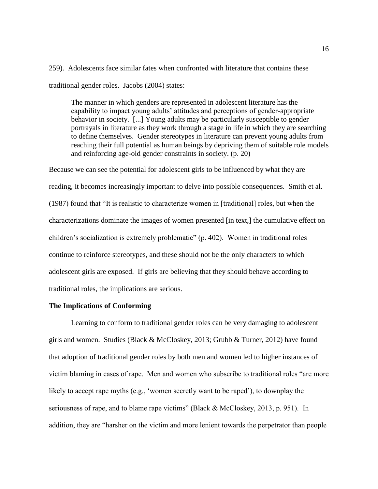259). Adolescents face similar fates when confronted with literature that contains these traditional gender roles. Jacobs (2004) states:

The manner in which genders are represented in adolescent literature has the capability to impact young adults' attitudes and perceptions of gender-appropriate behavior in society. [...] Young adults may be particularly susceptible to gender portrayals in literature as they work through a stage in life in which they are searching to define themselves. Gender stereotypes in literature can prevent young adults from reaching their full potential as human beings by depriving them of suitable role models and reinforcing age-old gender constraints in society. (p. 20)

Because we can see the potential for adolescent girls to be influenced by what they are reading, it becomes increasingly important to delve into possible consequences. Smith et al. (1987) found that "It is realistic to characterize women in [traditional] roles, but when the characterizations dominate the images of women presented [in text,] the cumulative effect on children's socialization is extremely problematic" (p. 402). Women in traditional roles continue to reinforce stereotypes, and these should not be the only characters to which adolescent girls are exposed. If girls are believing that they should behave according to traditional roles, the implications are serious.

## **The Implications of Conforming**

Learning to conform to traditional gender roles can be very damaging to adolescent girls and women. Studies (Black & McCloskey, 2013; Grubb & Turner, 2012) have found that adoption of traditional gender roles by both men and women led to higher instances of victim blaming in cases of rape. Men and women who subscribe to traditional roles "are more likely to accept rape myths (e.g., 'women secretly want to be raped'), to downplay the seriousness of rape, and to blame rape victims" (Black & McCloskey, 2013, p. 951). In addition, they are "harsher on the victim and more lenient towards the perpetrator than people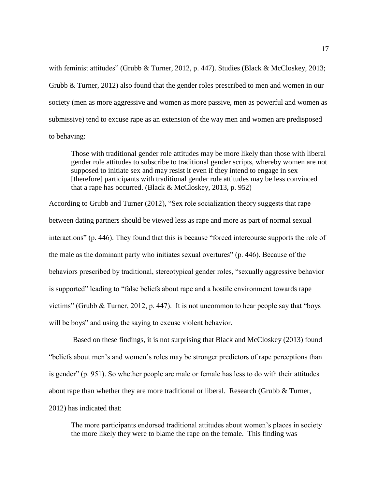with feminist attitudes" (Grubb & Turner, 2012, p. 447). Studies (Black & McCloskey, 2013; Grubb & Turner, 2012) also found that the gender roles prescribed to men and women in our society (men as more aggressive and women as more passive, men as powerful and women as submissive) tend to excuse rape as an extension of the way men and women are predisposed to behaving:

Those with traditional gender role attitudes may be more likely than those with liberal gender role attitudes to subscribe to traditional gender scripts, whereby women are not supposed to initiate sex and may resist it even if they intend to engage in sex [therefore] participants with traditional gender role attitudes may be less convinced that a rape has occurred. (Black  $&$  McCloskey, 2013, p. 952)

According to Grubb and Turner (2012), "Sex role socialization theory suggests that rape between dating partners should be viewed less as rape and more as part of normal sexual interactions" (p. 446). They found that this is because "forced intercourse supports the role of the male as the dominant party who initiates sexual overtures" (p. 446). Because of the behaviors prescribed by traditional, stereotypical gender roles, "sexually aggressive behavior is supported" leading to "false beliefs about rape and a hostile environment towards rape victims" (Grubb & Turner, 2012, p. 447). It is not uncommon to hear people say that "boys will be boys" and using the saying to excuse violent behavior.

Based on these findings, it is not surprising that Black and McCloskey (2013) found "beliefs about men's and women's roles may be stronger predictors of rape perceptions than is gender" (p. 951). So whether people are male or female has less to do with their attitudes about rape than whether they are more traditional or liberal. Research (Grubb  $\&$  Turner, 2012) has indicated that:

The more participants endorsed traditional attitudes about women's places in society the more likely they were to blame the rape on the female. This finding was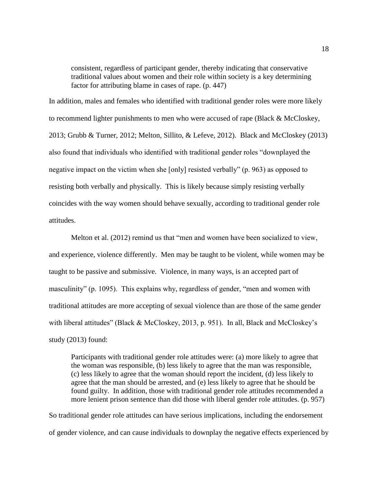consistent, regardless of participant gender, thereby indicating that conservative traditional values about women and their role within society is a key determining factor for attributing blame in cases of rape. (p. 447)

In addition, males and females who identified with traditional gender roles were more likely to recommend lighter punishments to men who were accused of rape (Black & McCloskey, 2013; Grubb & Turner, 2012; Melton, Sillito, & Lefeve, 2012). Black and McCloskey (2013) also found that individuals who identified with traditional gender roles "downplayed the negative impact on the victim when she [only] resisted verbally" (p. 963) as opposed to resisting both verbally and physically. This is likely because simply resisting verbally coincides with the way women should behave sexually, according to traditional gender role attitudes.

Melton et al. (2012) remind us that "men and women have been socialized to view, and experience, violence differently. Men may be taught to be violent, while women may be taught to be passive and submissive. Violence, in many ways, is an accepted part of masculinity" (p. 1095). This explains why, regardless of gender, "men and women with traditional attitudes are more accepting of sexual violence than are those of the same gender with liberal attitudes" (Black & McCloskey, 2013, p. 951). In all, Black and McCloskey's study (2013) found:

Participants with traditional gender role attitudes were: (a) more likely to agree that the woman was responsible, (b) less likely to agree that the man was responsible, (c) less likely to agree that the woman should report the incident, (d) less likely to agree that the man should be arrested, and (e) less likely to agree that he should be found guilty. In addition, those with traditional gender role attitudes recommended a more lenient prison sentence than did those with liberal gender role attitudes. (p. 957)

So traditional gender role attitudes can have serious implications, including the endorsement of gender violence, and can cause individuals to downplay the negative effects experienced by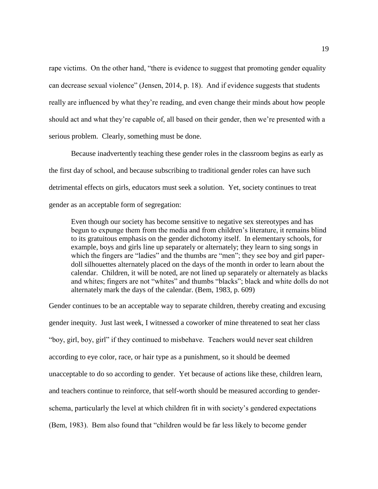rape victims. On the other hand, "there is evidence to suggest that promoting gender equality can decrease sexual violence" (Jensen, 2014, p. 18). And if evidence suggests that students really are influenced by what they're reading, and even change their minds about how people should act and what they're capable of, all based on their gender, then we're presented with a serious problem. Clearly, something must be done.

Because inadvertently teaching these gender roles in the classroom begins as early as the first day of school, and because subscribing to traditional gender roles can have such detrimental effects on girls, educators must seek a solution. Yet, society continues to treat gender as an acceptable form of segregation:

Even though our society has become sensitive to negative sex stereotypes and has begun to expunge them from the media and from children's literature, it remains blind to its gratuitous emphasis on the gender dichotomy itself. In elementary schools, for example, boys and girls line up separately or alternately; they learn to sing songs in which the fingers are "ladies" and the thumbs are "men"; they see boy and girl paperdoll silhouettes alternately placed on the days of the month in order to learn about the calendar. Children, it will be noted, are not lined up separately or alternately as blacks and whites; fingers are not "whites" and thumbs "blacks"; black and white dolls do not alternately mark the days of the calendar. (Bem, 1983, p. 609)

Gender continues to be an acceptable way to separate children, thereby creating and excusing gender inequity. Just last week, I witnessed a coworker of mine threatened to seat her class "boy, girl, boy, girl" if they continued to misbehave. Teachers would never seat children according to eye color, race, or hair type as a punishment, so it should be deemed unacceptable to do so according to gender. Yet because of actions like these, children learn, and teachers continue to reinforce, that self-worth should be measured according to genderschema, particularly the level at which children fit in with society's gendered expectations (Bem, 1983). Bem also found that "children would be far less likely to become gender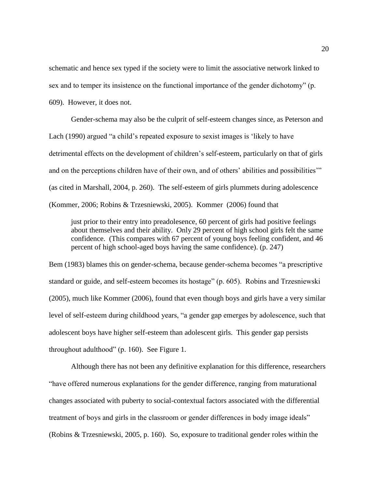schematic and hence sex typed if the society were to limit the associative network linked to sex and to temper its insistence on the functional importance of the gender dichotomy" (p. 609). However, it does not.

Gender-schema may also be the culprit of self-esteem changes since, as Peterson and Lach (1990) argued "a child's repeated exposure to sexist images is 'likely to have detrimental effects on the development of children's self-esteem, particularly on that of girls and on the perceptions children have of their own, and of others' abilities and possibilities'" (as cited in Marshall, 2004, p. 260). The self-esteem of girls plummets during adolescence (Kommer, 2006; Robins & Trzesniewski, 2005). Kommer (2006) found that

just prior to their entry into preadolesence, 60 percent of girls had positive feelings about themselves and their ability. Only 29 percent of high school girls felt the same confidence. (This compares with 67 percent of young boys feeling confident, and 46 percent of high school-aged boys having the same confidence). (p. 247)

Bem (1983) blames this on gender-schema, because gender-schema becomes "a prescriptive standard or guide, and self-esteem becomes its hostage" (p. 605). Robins and Trzesniewski (2005), much like Kommer (2006), found that even though boys and girls have a very similar level of self-esteem during childhood years, "a gender gap emerges by adolescence, such that adolescent boys have higher self-esteem than adolescent girls. This gender gap persists throughout adulthood" (p. 160). See Figure 1.

Although there has not been any definitive explanation for this difference, researchers "have offered numerous explanations for the gender difference, ranging from maturational changes associated with puberty to social-contextual factors associated with the differential treatment of boys and girls in the classroom or gender differences in body image ideals" (Robins & Trzesniewski, 2005, p. 160). So, exposure to traditional gender roles within the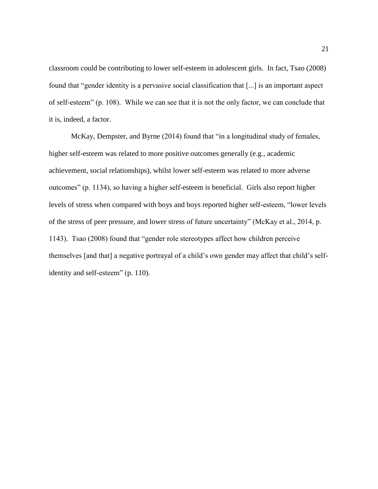classroom could be contributing to lower self-esteem in adolescent girls. In fact, Tsao (2008) found that "gender identity is a pervasive social classification that [...] is an important aspect of self-esteem" (p. 108). While we can see that it is not the only factor, we can conclude that it is, indeed, a factor.

McKay, Dempster, and Byrne (2014) found that "in a longitudinal study of females, higher self-esteem was related to more positive outcomes generally (e.g., academic achievement, social relationships), whilst lower self-esteem was related to more adverse outcomes" (p. 1134), so having a higher self-esteem is beneficial. Girls also report higher levels of stress when compared with boys and boys reported higher self-esteem, "lower levels of the stress of peer pressure, and lower stress of future uncertainty" (McKay et al., 2014, p. 1143). Tsao (2008) found that "gender role stereotypes affect how children perceive themselves [and that] a negative portrayal of a child's own gender may affect that child's selfidentity and self-esteem" (p. 110).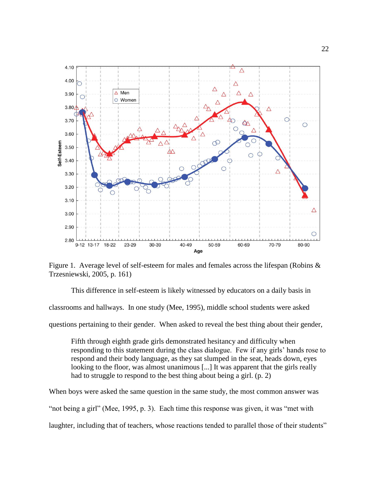

Figure 1. Average level of self-esteem for males and females across the lifespan (Robins & Trzesniewski, 2005, p. 161)

This difference in self-esteem is likely witnessed by educators on a daily basis in classrooms and hallways. In one study (Mee, 1995), middle school students were asked questions pertaining to their gender. When asked to reveal the best thing about their gender,

Fifth through eighth grade girls demonstrated hesitancy and difficulty when responding to this statement during the class dialogue. Few if any girls' hands rose to respond and their body language, as they sat slumped in the seat, heads down, eyes looking to the floor, was almost unanimous [...] It was apparent that the girls really had to struggle to respond to the best thing about being a girl. (p. 2)

When boys were asked the same question in the same study, the most common answer was "not being a girl" (Mee, 1995, p. 3). Each time this response was given, it was "met with laughter, including that of teachers, whose reactions tended to parallel those of their students"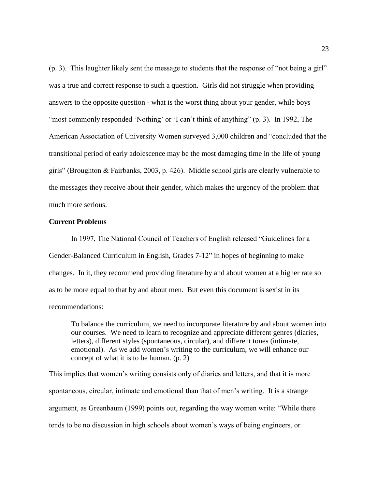(p. 3). This laughter likely sent the message to students that the response of "not being a girl" was a true and correct response to such a question. Girls did not struggle when providing answers to the opposite question - what is the worst thing about your gender, while boys "most commonly responded 'Nothing' or 'I can't think of anything" (p. 3). In 1992, The American Association of University Women surveyed 3,000 children and "concluded that the transitional period of early adolescence may be the most damaging time in the life of young girls" (Broughton & Fairbanks, 2003, p. 426). Middle school girls are clearly vulnerable to the messages they receive about their gender, which makes the urgency of the problem that much more serious.

## **Current Problems**

In 1997, The National Council of Teachers of English released "Guidelines for a Gender-Balanced Curriculum in English, Grades 7-12" in hopes of beginning to make changes. In it, they recommend providing literature by and about women at a higher rate so as to be more equal to that by and about men. But even this document is sexist in its recommendations:

To balance the curriculum, we need to incorporate literature by and about women into our courses. We need to learn to recognize and appreciate different genres (diaries, letters), different styles (spontaneous, circular), and different tones (intimate, emotional). As we add women's writing to the curriculum, we will enhance our concept of what it is to be human. (p. 2)

This implies that women's writing consists only of diaries and letters, and that it is more spontaneous, circular, intimate and emotional than that of men's writing. It is a strange argument, as Greenbaum (1999) points out, regarding the way women write: "While there tends to be no discussion in high schools about women's ways of being engineers, or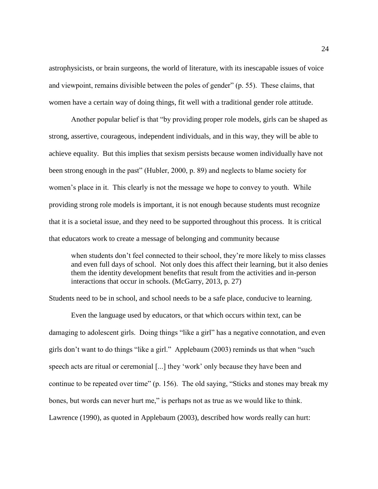astrophysicists, or brain surgeons, the world of literature, with its inescapable issues of voice and viewpoint, remains divisible between the poles of gender" (p. 55). These claims, that women have a certain way of doing things, fit well with a traditional gender role attitude.

Another popular belief is that "by providing proper role models, girls can be shaped as strong, assertive, courageous, independent individuals, and in this way, they will be able to achieve equality. But this implies that sexism persists because women individually have not been strong enough in the past" (Hubler, 2000, p. 89) and neglects to blame society for women's place in it. This clearly is not the message we hope to convey to youth. While providing strong role models is important, it is not enough because students must recognize that it is a societal issue, and they need to be supported throughout this process. It is critical that educators work to create a message of belonging and community because

when students don't feel connected to their school, they're more likely to miss classes and even full days of school. Not only does this affect their learning, but it also denies them the identity development benefits that result from the activities and in-person interactions that occur in schools. (McGarry, 2013, p. 27)

Students need to be in school, and school needs to be a safe place, conducive to learning.

Even the language used by educators, or that which occurs within text, can be damaging to adolescent girls. Doing things "like a girl" has a negative connotation, and even girls don't want to do things "like a girl." Applebaum (2003) reminds us that when "such speech acts are ritual or ceremonial [...] they 'work' only because they have been and continue to be repeated over time" (p. 156). The old saying, "Sticks and stones may break my bones, but words can never hurt me," is perhaps not as true as we would like to think. Lawrence (1990), as quoted in Applebaum (2003), described how words really can hurt: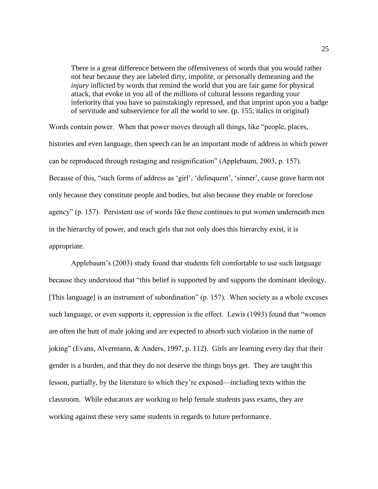There is a great difference between the offensiveness of words that you would rather not hear because they are labeled dirty, impolite, or personally demeaning and the *injury* inflicted by words that remind the world that you are fair game for physical attack, that evoke in you all of the millions of cultural lessons regarding your inferiority that you have so painstakingly repressed, and that imprint upon you a badge of servitude and subservience for all the world to see. (p. 155; italics in original)

Words contain power. When that power moves through all things, like "people, places, histories and even language, then speech can be an important mode of address in which power can be reproduced through restaging and resignification" (Applebaum, 2003, p. 157). Because of this, "such forms of address as 'girl', 'delinquent', 'sinner', cause grave harm not only because they constitute people and bodies, but also because they enable or foreclose agency" (p. 157). Persistent use of words like these continues to put women underneath men in the hierarchy of power, and teach girls that not only does this hierarchy exist, it is appropriate.

Applebaum's (2003) study found that students felt comfortable to use such language because they understood that "this belief is supported by and supports the dominant ideology. [This language] is an instrument of subordination" (p. 157). When society as a whole excuses such language, or even supports it, oppression is the effect. Lewis (1993) found that "women are often the butt of male joking and are expected to absorb such violation in the name of joking" (Evans, Alvermann, & Anders, 1997, p. 112). Girls are learning every day that their gender is a burden, and that they do not deserve the things boys get. They are taught this lesson, partially, by the literature to which they're exposed—including texts within the classroom. While educators are working to help female students pass exams, they are working against these very same students in regards to future performance.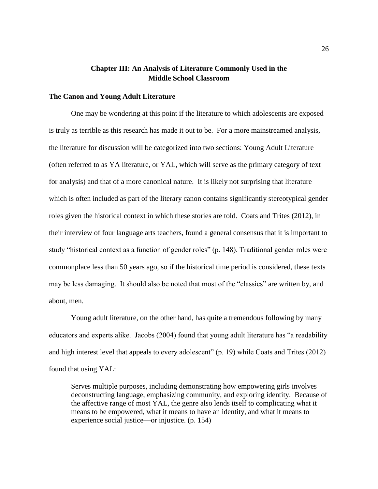## **Chapter III: An Analysis of Literature Commonly Used in the Middle School Classroom**

## **The Canon and Young Adult Literature**

One may be wondering at this point if the literature to which adolescents are exposed is truly as terrible as this research has made it out to be. For a more mainstreamed analysis, the literature for discussion will be categorized into two sections: Young Adult Literature (often referred to as YA literature, or YAL, which will serve as the primary category of text for analysis) and that of a more canonical nature. It is likely not surprising that literature which is often included as part of the literary canon contains significantly stereotypical gender roles given the historical context in which these stories are told. Coats and Trites (2012), in their interview of four language arts teachers, found a general consensus that it is important to study "historical context as a function of gender roles" (p. 148). Traditional gender roles were commonplace less than 50 years ago, so if the historical time period is considered, these texts may be less damaging. It should also be noted that most of the "classics" are written by, and about, men.

Young adult literature, on the other hand, has quite a tremendous following by many educators and experts alike. Jacobs (2004) found that young adult literature has "a readability and high interest level that appeals to every adolescent" (p. 19) while Coats and Trites (2012) found that using YAL:

Serves multiple purposes, including demonstrating how empowering girls involves deconstructing language, emphasizing community, and exploring identity. Because of the affective range of most YAL, the genre also lends itself to complicating what it means to be empowered, what it means to have an identity, and what it means to experience social justice—or injustice. (p. 154)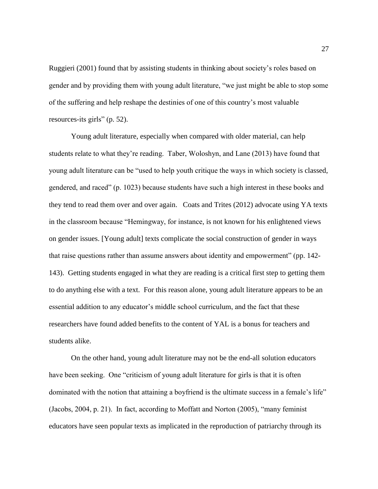Ruggieri (2001) found that by assisting students in thinking about society's roles based on gender and by providing them with young adult literature, "we just might be able to stop some of the suffering and help reshape the destinies of one of this country's most valuable resources-its girls" (p. 52).

Young adult literature, especially when compared with older material, can help students relate to what they're reading. Taber, Woloshyn, and Lane (2013) have found that young adult literature can be "used to help youth critique the ways in which society is classed, gendered, and raced" (p. 1023) because students have such a high interest in these books and they tend to read them over and over again. Coats and Trites (2012) advocate using YA texts in the classroom because "Hemingway, for instance, is not known for his enlightened views on gender issues. [Young adult] texts complicate the social construction of gender in ways that raise questions rather than assume answers about identity and empowerment" (pp. 142- 143). Getting students engaged in what they are reading is a critical first step to getting them to do anything else with a text. For this reason alone, young adult literature appears to be an essential addition to any educator's middle school curriculum, and the fact that these researchers have found added benefits to the content of YAL is a bonus for teachers and students alike.

On the other hand, young adult literature may not be the end-all solution educators have been seeking. One "criticism of young adult literature for girls is that it is often dominated with the notion that attaining a boyfriend is the ultimate success in a female's life" (Jacobs, 2004, p. 21). In fact, according to Moffatt and Norton (2005), "many feminist educators have seen popular texts as implicated in the reproduction of patriarchy through its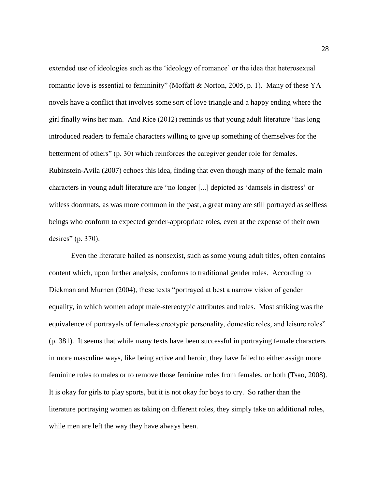extended use of ideologies such as the 'ideology of romance' or the idea that heterosexual romantic love is essential to femininity" (Moffatt & Norton, 2005, p. 1). Many of these YA novels have a conflict that involves some sort of love triangle and a happy ending where the girl finally wins her man. And Rice (2012) reminds us that young adult literature "has long introduced readers to female characters willing to give up something of themselves for the betterment of others" (p. 30) which reinforces the caregiver gender role for females. Rubinstein-Avila (2007) echoes this idea, finding that even though many of the female main characters in young adult literature are "no longer [...] depicted as 'damsels in distress' or witless doormats, as was more common in the past, a great many are still portrayed as selfless beings who conform to expected gender-appropriate roles, even at the expense of their own desires" (p. 370).

Even the literature hailed as nonsexist, such as some young adult titles, often contains content which, upon further analysis, conforms to traditional gender roles. According to Diekman and Murnen (2004), these texts "portrayed at best a narrow vision of gender equality, in which women adopt male-stereotypic attributes and roles. Most striking was the equivalence of portrayals of female-stereotypic personality, domestic roles, and leisure roles" (p. 381). It seems that while many texts have been successful in portraying female characters in more masculine ways, like being active and heroic, they have failed to either assign more feminine roles to males or to remove those feminine roles from females, or both (Tsao, 2008). It is okay for girls to play sports, but it is not okay for boys to cry. So rather than the literature portraying women as taking on different roles, they simply take on additional roles, while men are left the way they have always been.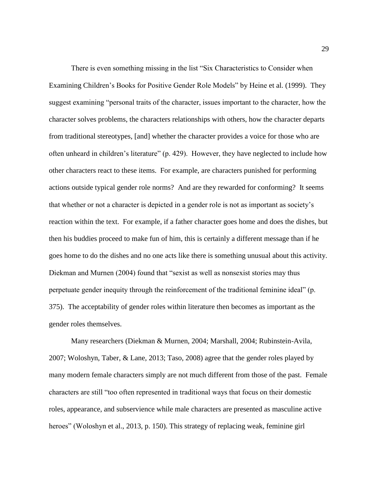There is even something missing in the list "Six Characteristics to Consider when Examining Children's Books for Positive Gender Role Models" by Heine et al. (1999). They suggest examining "personal traits of the character, issues important to the character, how the character solves problems, the characters relationships with others, how the character departs from traditional stereotypes, [and] whether the character provides a voice for those who are often unheard in children's literature" (p. 429). However, they have neglected to include how other characters react to these items. For example, are characters punished for performing actions outside typical gender role norms? And are they rewarded for conforming? It seems that whether or not a character is depicted in a gender role is not as important as society's reaction within the text. For example, if a father character goes home and does the dishes, but then his buddies proceed to make fun of him, this is certainly a different message than if he goes home to do the dishes and no one acts like there is something unusual about this activity. Diekman and Murnen (2004) found that "sexist as well as nonsexist stories may thus perpetuate gender inequity through the reinforcement of the traditional feminine ideal" (p. 375). The acceptability of gender roles within literature then becomes as important as the gender roles themselves.

Many researchers (Diekman & Murnen, 2004; Marshall, 2004; Rubinstein-Avila, 2007; Woloshyn, Taber, & Lane, 2013; Taso, 2008) agree that the gender roles played by many modern female characters simply are not much different from those of the past. Female characters are still "too often represented in traditional ways that focus on their domestic roles, appearance, and subservience while male characters are presented as masculine active heroes" (Woloshyn et al., 2013, p. 150). This strategy of replacing weak, feminine girl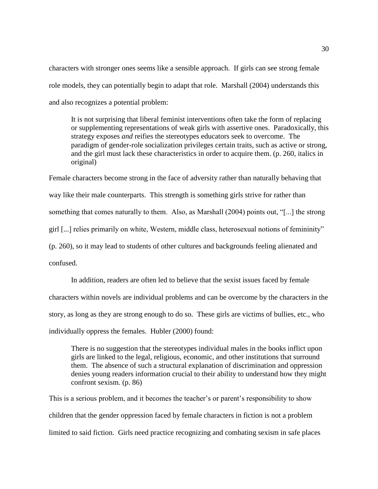characters with stronger ones seems like a sensible approach. If girls can see strong female role models, they can potentially begin to adapt that role. Marshall (2004) understands this and also recognizes a potential problem:

It is not surprising that liberal feminist interventions often take the form of replacing or supplementing representations of weak girls with assertive ones. Paradoxically, this strategy exposes *and* reifies the stereotypes educators seek to overcome. The paradigm of gender-role socialization privileges certain traits, such as active or strong, and the girl must lack these characteristics in order to acquire them. (p. 260, italics in original)

Female characters become strong in the face of adversity rather than naturally behaving that way like their male counterparts. This strength is something girls strive for rather than something that comes naturally to them. Also, as Marshall (2004) points out, "[...] the strong girl [...] relies primarily on white, Western, middle class, heterosexual notions of femininity" (p. 260), so it may lead to students of other cultures and backgrounds feeling alienated and confused.

In addition, readers are often led to believe that the sexist issues faced by female characters within novels are individual problems and can be overcome by the characters in the story, as long as they are strong enough to do so. These girls are victims of bullies, etc., who individually oppress the females. Hubler (2000) found:

There is no suggestion that the stereotypes individual males in the books inflict upon girls are linked to the legal, religious, economic, and other institutions that surround them. The absence of such a structural explanation of discrimination and oppression denies young readers information crucial to their ability to understand how they might confront sexism. (p. 86)

This is a serious problem, and it becomes the teacher's or parent's responsibility to show children that the gender oppression faced by female characters in fiction is not a problem limited to said fiction. Girls need practice recognizing and combating sexism in safe places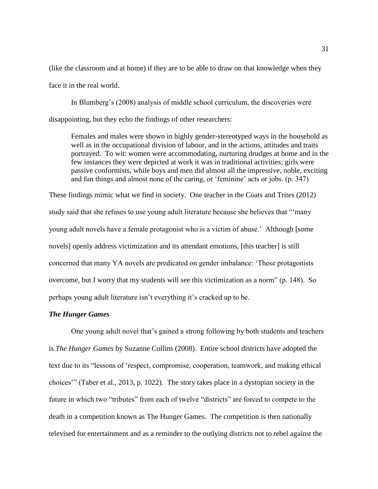(like the classroom and at home) if they are to be able to draw on that knowledge when they face it in the real world.

In Blumberg's (2008) analysis of middle school curriculum, the discoveries were disappointing, but they echo the findings of other researchers:

Females and males were shown in highly gender-stereotyped ways in the household as well as in the occupational division of labour, and in the actions, attitudes and traits portrayed. To wit: women were accommodating, nurturing drudges at home and in the few instances they were depicted at work it was in traditional activities; girls were passive conformists, while boys and men did almost all the impressive, noble, exciting and fun things and almost none of the caring, or 'feminine' acts or jobs. (p. 347)

These findings mimic what we find in society. One teacher in the Coats and Trites (2012) study said that she refuses to use young adult literature because she believes that "'many young adult novels have a female protagonist who is a victim of abuse.' Although [some novels] openly address victimization and its attendant emotions, [this teacher] is still concerned that many YA novels are predicated on gender imbalance: 'These protagonists overcome, but I worry that my students will see this victimization as a norm" (p. 148). So perhaps young adult literature isn't everything it's cracked up to be.

## *The Hunger Games*

One young adult novel that's gained a strong following by both students and teachers is *The Hunger Games* by Suzanne Collins (2008). Entire school districts have adopted the text due to its "lessons of 'respect, compromise, cooperation, teamwork, and making ethical choices'" (Taber et al., 2013, p. 1022). The story takes place in a dystopian society in the future in which two "tributes" from each of twelve "districts" are forced to compete to the death in a competition known as The Hunger Games. The competition is then nationally televised for entertainment and as a reminder to the outlying districts not to rebel against the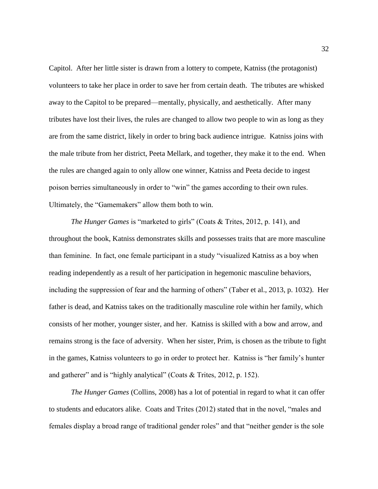Capitol. After her little sister is drawn from a lottery to compete, Katniss (the protagonist) volunteers to take her place in order to save her from certain death. The tributes are whisked away to the Capitol to be prepared—mentally, physically, and aesthetically. After many tributes have lost their lives, the rules are changed to allow two people to win as long as they are from the same district, likely in order to bring back audience intrigue. Katniss joins with the male tribute from her district, Peeta Mellark, and together, they make it to the end. When the rules are changed again to only allow one winner, Katniss and Peeta decide to ingest poison berries simultaneously in order to "win" the games according to their own rules. Ultimately, the "Gamemakers" allow them both to win.

*The Hunger Games* is "marketed to girls" (Coats & Trites, 2012, p. 141), and throughout the book, Katniss demonstrates skills and possesses traits that are more masculine than feminine. In fact, one female participant in a study "visualized Katniss as a boy when reading independently as a result of her participation in hegemonic masculine behaviors, including the suppression of fear and the harming of others" (Taber et al., 2013, p. 1032). Her father is dead, and Katniss takes on the traditionally masculine role within her family, which consists of her mother, younger sister, and her. Katniss is skilled with a bow and arrow, and remains strong is the face of adversity. When her sister, Prim, is chosen as the tribute to fight in the games, Katniss volunteers to go in order to protect her. Katniss is "her family's hunter and gatherer" and is "highly analytical" (Coats & Trites, 2012, p. 152).

*The Hunger Games* (Collins, 2008) has a lot of potential in regard to what it can offer to students and educators alike. Coats and Trites (2012) stated that in the novel, "males and females display a broad range of traditional gender roles" and that "neither gender is the sole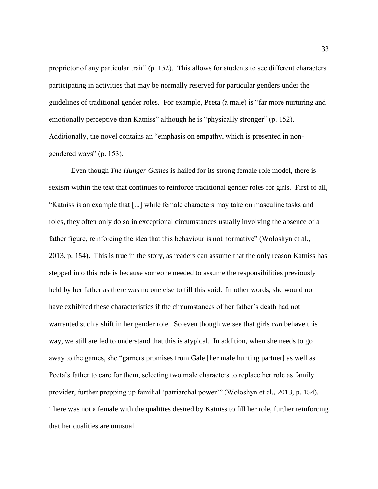proprietor of any particular trait" (p. 152). This allows for students to see different characters participating in activities that may be normally reserved for particular genders under the guidelines of traditional gender roles. For example, Peeta (a male) is "far more nurturing and emotionally perceptive than Katniss" although he is "physically stronger" (p. 152). Additionally, the novel contains an "emphasis on empathy, which is presented in nongendered ways" (p. 153).

Even though *The Hunger Games* is hailed for its strong female role model, there is sexism within the text that continues to reinforce traditional gender roles for girls. First of all, "Katniss is an example that [...] while female characters may take on masculine tasks and roles, they often only do so in exceptional circumstances usually involving the absence of a father figure, reinforcing the idea that this behaviour is not normative" (Woloshyn et al., 2013, p. 154). This is true in the story, as readers can assume that the only reason Katniss has stepped into this role is because someone needed to assume the responsibilities previously held by her father as there was no one else to fill this void. In other words, she would not have exhibited these characteristics if the circumstances of her father's death had not warranted such a shift in her gender role. So even though we see that girls *can* behave this way, we still are led to understand that this is atypical. In addition, when she needs to go away to the games, she "garners promises from Gale [her male hunting partner] as well as Peeta's father to care for them, selecting two male characters to replace her role as family provider, further propping up familial 'patriarchal power'" (Woloshyn et al., 2013, p. 154). There was not a female with the qualities desired by Katniss to fill her role, further reinforcing that her qualities are unusual.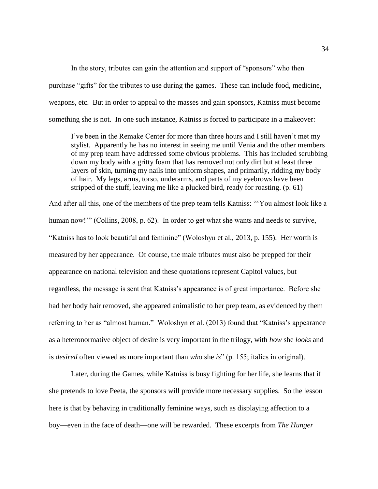In the story, tributes can gain the attention and support of "sponsors" who then purchase "gifts" for the tributes to use during the games. These can include food, medicine, weapons, etc. But in order to appeal to the masses and gain sponsors, Katniss must become something she is not. In one such instance, Katniss is forced to participate in a makeover:

I've been in the Remake Center for more than three hours and I still haven't met my stylist. Apparently he has no interest in seeing me until Venia and the other members of my prep team have addressed some obvious problems. This has included scrubbing down my body with a gritty foam that has removed not only dirt but at least three layers of skin, turning my nails into uniform shapes, and primarily, ridding my body of hair. My legs, arms, torso, underarms, and parts of my eyebrows have been stripped of the stuff, leaving me like a plucked bird, ready for roasting. (p. 61)

And after all this, one of the members of the prep team tells Katniss: "'You almost look like a human now!"" (Collins, 2008, p. 62). In order to get what she wants and needs to survive, "Katniss has to look beautiful and feminine" (Woloshyn et al., 2013, p. 155). Her worth is measured by her appearance. Of course, the male tributes must also be prepped for their appearance on national television and these quotations represent Capitol values, but regardless, the message is sent that Katniss's appearance is of great importance. Before she had her body hair removed, she appeared animalistic to her prep team, as evidenced by them referring to her as "almost human." Woloshyn et al. (2013) found that "Katniss's appearance as a heteronormative object of desire is very important in the trilogy, with *how* she *looks* and is *desired* often viewed as more important than *who* she *is*" (p. 155; italics in original).

Later, during the Games, while Katniss is busy fighting for her life, she learns that if she pretends to love Peeta, the sponsors will provide more necessary supplies. So the lesson here is that by behaving in traditionally feminine ways, such as displaying affection to a boy—even in the face of death—one will be rewarded. These excerpts from *The Hunger*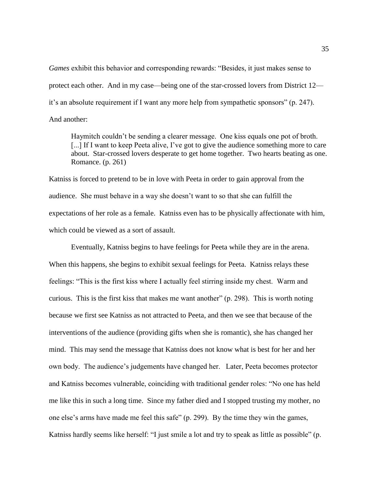*Games* exhibit this behavior and corresponding rewards: "Besides, it just makes sense to protect each other. And in my case—being one of the star-crossed lovers from District 12 it's an absolute requirement if I want any more help from sympathetic sponsors" (p. 247). And another:

Haymitch couldn't be sending a clearer message. One kiss equals one pot of broth. [...] If I want to keep Peeta alive, I've got to give the audience something more to care about. Star-crossed lovers desperate to get home together. Two hearts beating as one. Romance. (p. 261)

Katniss is forced to pretend to be in love with Peeta in order to gain approval from the audience. She must behave in a way she doesn't want to so that she can fulfill the expectations of her role as a female. Katniss even has to be physically affectionate with him, which could be viewed as a sort of assault.

Eventually, Katniss begins to have feelings for Peeta while they are in the arena. When this happens, she begins to exhibit sexual feelings for Peeta. Katniss relays these feelings: "This is the first kiss where I actually feel stirring inside my chest. Warm and curious. This is the first kiss that makes me want another" (p. 298). This is worth noting because we first see Katniss as not attracted to Peeta, and then we see that because of the interventions of the audience (providing gifts when she is romantic), she has changed her mind. This may send the message that Katniss does not know what is best for her and her own body. The audience's judgements have changed her. Later, Peeta becomes protector and Katniss becomes vulnerable, coinciding with traditional gender roles: "No one has held me like this in such a long time. Since my father died and I stopped trusting my mother, no one else's arms have made me feel this safe" (p. 299). By the time they win the games, Katniss hardly seems like herself: "I just smile a lot and try to speak as little as possible" (p.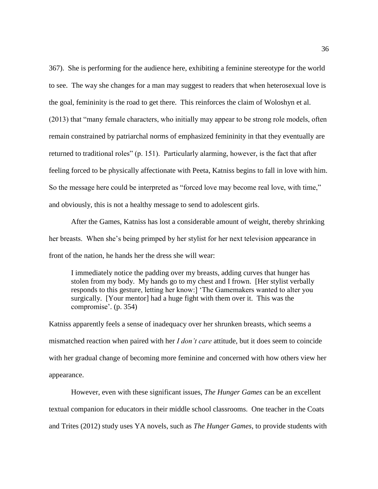367). She is performing for the audience here, exhibiting a feminine stereotype for the world to see. The way she changes for a man may suggest to readers that when heterosexual love is the goal, femininity is the road to get there. This reinforces the claim of Woloshyn et al. (2013) that "many female characters, who initially may appear to be strong role models, often remain constrained by patriarchal norms of emphasized femininity in that they eventually are returned to traditional roles" (p. 151). Particularly alarming, however, is the fact that after feeling forced to be physically affectionate with Peeta, Katniss begins to fall in love with him. So the message here could be interpreted as "forced love may become real love, with time," and obviously, this is not a healthy message to send to adolescent girls.

After the Games, Katniss has lost a considerable amount of weight, thereby shrinking her breasts. When she's being primped by her stylist for her next television appearance in front of the nation, he hands her the dress she will wear:

I immediately notice the padding over my breasts, adding curves that hunger has stolen from my body. My hands go to my chest and I frown. [Her stylist verbally responds to this gesture, letting her know:] 'The Gamemakers wanted to alter you surgically. [Your mentor] had a huge fight with them over it. This was the compromise'. (p. 354)

Katniss apparently feels a sense of inadequacy over her shrunken breasts, which seems a mismatched reaction when paired with her *I don't care* attitude, but it does seem to coincide with her gradual change of becoming more feminine and concerned with how others view her appearance.

However, even with these significant issues, *The Hunger Games* can be an excellent textual companion for educators in their middle school classrooms. One teacher in the Coats and Trites (2012) study uses YA novels, such as *The Hunger Games*, to provide students with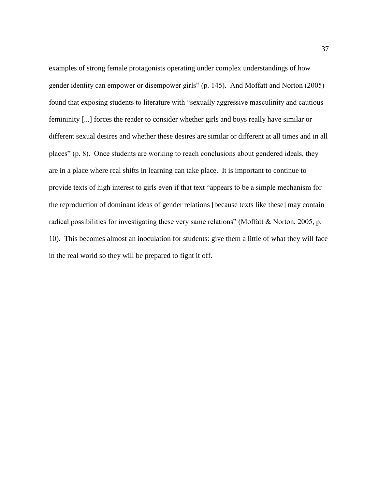examples of strong female protagonists operating under complex understandings of how gender identity can empower or disempower girls" (p. 145). And Moffatt and Norton (2005) found that exposing students to literature with "sexually aggressive masculinity and cautious femininity [...] forces the reader to consider whether girls and boys really have similar or different sexual desires and whether these desires are similar or different at all times and in all places" (p. 8). Once students are working to reach conclusions about gendered ideals, they are in a place where real shifts in learning can take place. It is important to continue to provide texts of high interest to girls even if that text "appears to be a simple mechanism for the reproduction of dominant ideas of gender relations [because texts like these] may contain radical possibilities for investigating these very same relations" (Moffatt & Norton, 2005, p. 10). This becomes almost an inoculation for students: give them a little of what they will face in the real world so they will be prepared to fight it off.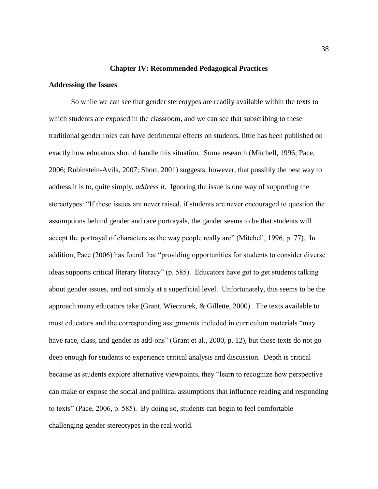### **Chapter IV: Recommended Pedagogical Practices**

## **Addressing the Issues**

So while we can see that gender stereotypes are readily available within the texts to which students are exposed in the classroom, and we can see that subscribing to these traditional gender roles can have detrimental effects on students, little has been published on exactly how educators should handle this situation. Some research (Mitchell, 1996; Pace, 2006; Rubinstein-Avila, 2007; Short, 2001) suggests, however, that possibly the best way to address it is to, quite simply, *address it*. Ignoring the issue is one way of supporting the stereotypes: "If these issues are never raised, if students are never encouraged to question the assumptions behind gender and race portrayals, the gander seems to be that students will accept the portrayal of characters as the way people really are" (Mitchell, 1996, p. 77). In addition, Pace (2006) has found that "providing opportunities for students to consider diverse ideas supports critical literary literacy" (p. 585). Educators have got to get students talking about gender issues, and not simply at a superficial level. Unfortunately, this seems to be the approach many educators take (Grant, Wieczorek, & Gillette, 2000). The texts available to most educators and the corresponding assignments included in curriculum materials "may have race, class, and gender as add-ons" (Grant et al., 2000, p. 12), but those texts do not go deep enough for students to experience critical analysis and discussion. Depth is critical because as students explore alternative viewpoints, they "learn to recognize how perspective can make or expose the social and political assumptions that influence reading and responding to texts" (Pace, 2006, p. 585). By doing so, students can begin to feel comfortable challenging gender stereotypes in the real world.

38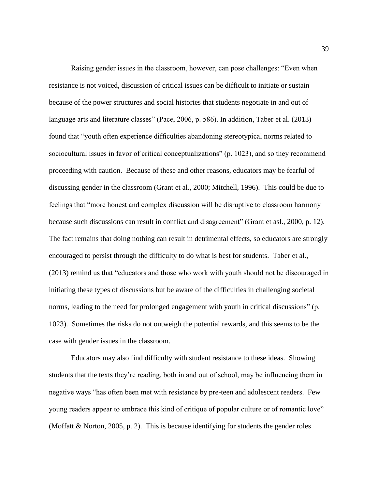Raising gender issues in the classroom, however, can pose challenges: "Even when resistance is not voiced, discussion of critical issues can be difficult to initiate or sustain because of the power structures and social histories that students negotiate in and out of language arts and literature classes" (Pace, 2006, p. 586). In addition, Taber et al. (2013) found that "youth often experience difficulties abandoning stereotypical norms related to sociocultural issues in favor of critical conceptualizations" (p. 1023), and so they recommend proceeding with caution. Because of these and other reasons, educators may be fearful of discussing gender in the classroom (Grant et al., 2000; Mitchell, 1996). This could be due to feelings that "more honest and complex discussion will be disruptive to classroom harmony because such discussions can result in conflict and disagreement" (Grant et asl., 2000, p. 12). The fact remains that doing nothing can result in detrimental effects, so educators are strongly encouraged to persist through the difficulty to do what is best for students. Taber et al., (2013) remind us that "educators and those who work with youth should not be discouraged in initiating these types of discussions but be aware of the difficulties in challenging societal norms, leading to the need for prolonged engagement with youth in critical discussions" (p. 1023). Sometimes the risks do not outweigh the potential rewards, and this seems to be the case with gender issues in the classroom.

Educators may also find difficulty with student resistance to these ideas. Showing students that the texts they're reading, both in and out of school, may be influencing them in negative ways "has often been met with resistance by pre-teen and adolescent readers. Few young readers appear to embrace this kind of critique of popular culture or of romantic love" (Moffatt & Norton, 2005, p. 2). This is because identifying for students the gender roles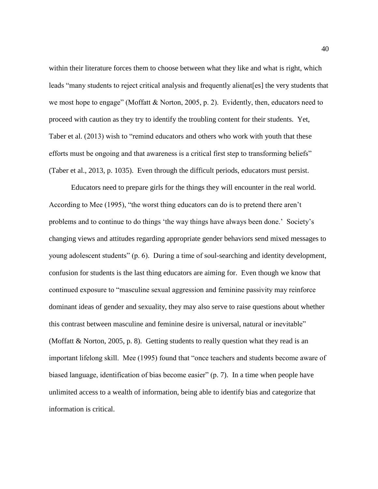within their literature forces them to choose between what they like and what is right, which leads "many students to reject critical analysis and frequently alienat [es] the very students that we most hope to engage" (Moffatt & Norton, 2005, p. 2). Evidently, then, educators need to proceed with caution as they try to identify the troubling content for their students. Yet, Taber et al. (2013) wish to "remind educators and others who work with youth that these efforts must be ongoing and that awareness is a critical first step to transforming beliefs" (Taber et al., 2013, p. 1035). Even through the difficult periods, educators must persist.

Educators need to prepare girls for the things they will encounter in the real world. According to Mee (1995), "the worst thing educators can do is to pretend there aren't problems and to continue to do things 'the way things have always been done.' Society's changing views and attitudes regarding appropriate gender behaviors send mixed messages to young adolescent students" (p. 6). During a time of soul-searching and identity development, confusion for students is the last thing educators are aiming for. Even though we know that continued exposure to "masculine sexual aggression and feminine passivity may reinforce dominant ideas of gender and sexuality, they may also serve to raise questions about whether this contrast between masculine and feminine desire is universal, natural or inevitable" (Moffatt  $\&$  Norton, 2005, p. 8). Getting students to really question what they read is an important lifelong skill. Mee (1995) found that "once teachers and students become aware of biased language, identification of bias become easier" (p. 7). In a time when people have unlimited access to a wealth of information, being able to identify bias and categorize that information is critical.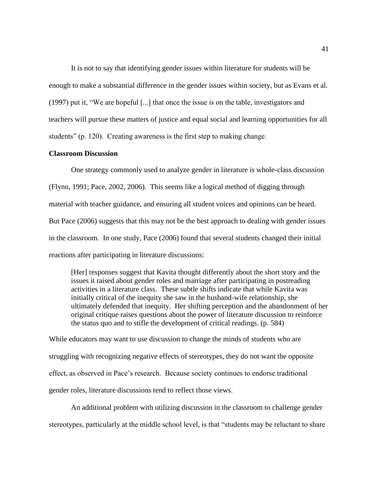It is not to say that identifying gender issues within literature for students will be enough to make a substantial difference in the gender issues within society, but as Evans et al. (1997) put it, "We are hopeful [...] that once the issue is on the table, investigators and teachers will pursue these matters of justice and equal social and learning opportunities for all students" (p. 120). Creating awareness is the first step to making change.

## **Classroom Discussion**

One strategy commonly used to analyze gender in literature is whole-class discussion (Flynn, 1991; Pace, 2002, 2006). This seems like a logical method of digging through material with teacher guidance, and ensuring all student voices and opinions can be heard. But Pace (2006) suggests that this may not be the best approach to dealing with gender issues in the classroom. In one study, Pace (2006) found that several students changed their initial reactions after participating in literature discussions:

[Her] responses suggest that Kavita thought differently about the short story and the issues it raised about gender roles and marriage after participating in postreading activities in a literature class. These subtle shifts indicate that while Kavita was initially critical of the inequity she saw in the husband-wife relationship, she ultimately defended that inequity. Her shifting perception and the abandonment of her original critique raises questions about the power of literature discussion to reinforce the status quo and to stifle the development of critical readings. (p. 584)

While educators may want to use discussion to change the minds of students who are struggling with recognizing negative effects of stereotypes, they do not want the opposite effect, as observed in Pace's research. Because society continues to endorse traditional gender roles, literature discussions tend to reflect those views.

An additional problem with utilizing discussion in the classroom to challenge gender stereotypes, particularly at the middle school level, is that "students may be reluctant to share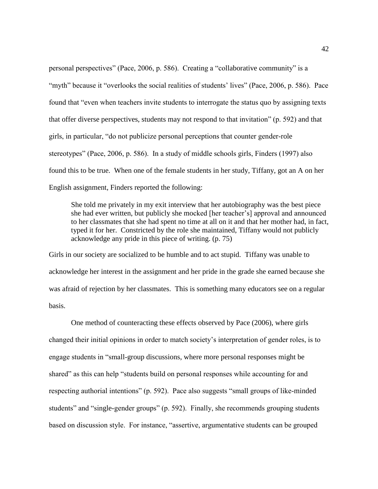personal perspectives" (Pace, 2006, p. 586). Creating a "collaborative community" is a "myth" because it "overlooks the social realities of students' lives" (Pace, 2006, p. 586). Pace found that "even when teachers invite students to interrogate the status quo by assigning texts that offer diverse perspectives, students may not respond to that invitation" (p. 592) and that girls, in particular, "do not publicize personal perceptions that counter gender-role stereotypes" (Pace, 2006, p. 586). In a study of middle schools girls, Finders (1997) also found this to be true. When one of the female students in her study, Tiffany, got an A on her English assignment, Finders reported the following:

She told me privately in my exit interview that her autobiography was the best piece she had ever written, but publicly she mocked [her teacher's] approval and announced to her classmates that she had spent no time at all on it and that her mother had, in fact, typed it for her. Constricted by the role she maintained, Tiffany would not publicly acknowledge any pride in this piece of writing. (p. 75)

Girls in our society are socialized to be humble and to act stupid. Tiffany was unable to acknowledge her interest in the assignment and her pride in the grade she earned because she was afraid of rejection by her classmates. This is something many educators see on a regular basis.

One method of counteracting these effects observed by Pace (2006), where girls changed their initial opinions in order to match society's interpretation of gender roles, is to engage students in "small-group discussions, where more personal responses might be shared" as this can help "students build on personal responses while accounting for and respecting authorial intentions" (p. 592). Pace also suggests "small groups of like-minded students" and "single-gender groups" (p. 592). Finally, she recommends grouping students based on discussion style. For instance, "assertive, argumentative students can be grouped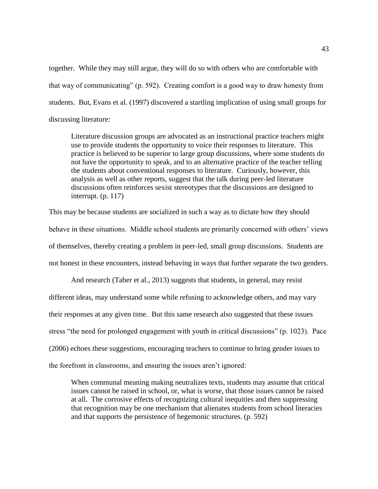together. While they may still argue, they will do so with others who are comfortable with that way of communicating" (p. 592). Creating comfort is a good way to draw honesty from students. But, Evans et al. (1997) discovered a startling implication of using small groups for discussing literature:

Literature discussion groups are advocated as an instructional practice teachers might use to provide students the opportunity to voice their responses to literature. This practice is believed to be superior to large group discussions, where some students do not have the opportunity to speak, and to an alternative practice of the teacher telling the students about conventional responses to literature. Curiously, however, this analysis as well as other reports, suggest that the talk during peer-led literature discussions often reinforces sexist stereotypes that the discussions are designed to interrupt. (p. 117)

This may be because students are socialized in such a way as to dictate how they should behave in these situations. Middle school students are primarily concerned with others' views of themselves, thereby creating a problem in peer-led, small group discussions. Students are not honest in these encounters, instead behaving in ways that further separate the two genders.

And research (Taber et al., 2013) suggests that students, in general, may resist different ideas, may understand some while refusing to acknowledge others, and may vary their responses at any given time. But this same research also suggested that these issues stress "the need for prolonged engagement with youth in critical discussions" (p. 1023). Pace (2006) echoes these suggestions, encouraging teachers to continue to bring gender issues to the forefront in classrooms, and ensuring the issues aren't ignored:

When communal meaning making neutralizes texts, students may assume that critical issues cannot be raised in school, or, what is worse, that those issues cannot be raised at all. The corrosive effects of recognizing cultural inequities and then suppressing that recognition may be one mechanism that alienates students from school literacies and that supports the persistence of hegemonic structures. (p. 592)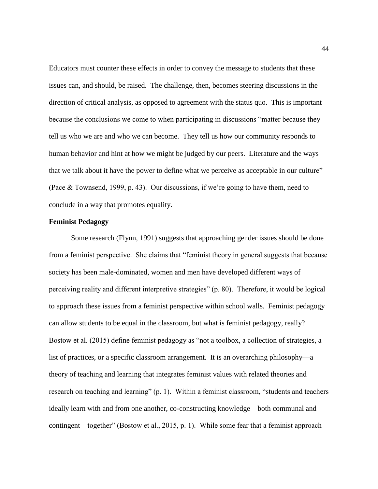Educators must counter these effects in order to convey the message to students that these issues can, and should, be raised. The challenge, then, becomes steering discussions in the direction of critical analysis, as opposed to agreement with the status quo. This is important because the conclusions we come to when participating in discussions "matter because they tell us who we are and who we can become. They tell us how our community responds to human behavior and hint at how we might be judged by our peers. Literature and the ways that we talk about it have the power to define what we perceive as acceptable in our culture" (Pace & Townsend, 1999, p. 43). Our discussions, if we're going to have them, need to conclude in a way that promotes equality.

## **Feminist Pedagogy**

Some research (Flynn, 1991) suggests that approaching gender issues should be done from a feminist perspective. She claims that "feminist theory in general suggests that because society has been male-dominated, women and men have developed different ways of perceiving reality and different interpretive strategies" (p. 80). Therefore, it would be logical to approach these issues from a feminist perspective within school walls. Feminist pedagogy can allow students to be equal in the classroom, but what is feminist pedagogy, really? Bostow et al. (2015) define feminist pedagogy as "not a toolbox, a collection of strategies, a list of practices, or a specific classroom arrangement. It is an overarching philosophy—a theory of teaching and learning that integrates feminist values with related theories and research on teaching and learning" (p. 1). Within a feminist classroom, "students and teachers ideally learn with and from one another, co-constructing knowledge—both communal and contingent—together" (Bostow et al., 2015, p. 1). While some fear that a feminist approach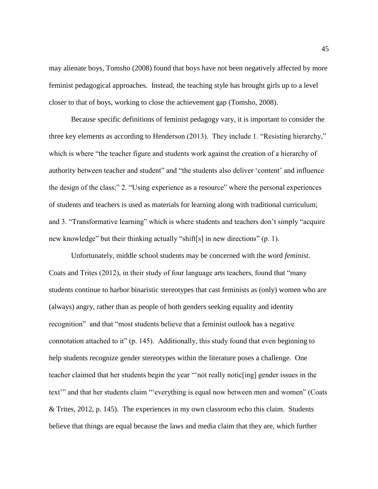may alienate boys, Tomsho (2008) found that boys have not been negatively affected by more feminist pedagogical approaches. Instead, the teaching style has brought girls up to a level closer to that of boys, working to close the achievement gap (Tomsho, 2008).

Because specific definitions of feminist pedagogy vary, it is important to consider the three key elements as according to Henderson (2013). They include 1. "Resisting hierarchy," which is where "the teacher figure and students work against the creation of a hierarchy of authority between teacher and student" and "the students also deliver 'content' and influence the design of the class;" 2. "Using experience as a resource" where the personal experiences of students and teachers is used as materials for learning along with traditional curriculum; and 3. "Transformative learning" which is where students and teachers don't simply "acquire new knowledge" but their thinking actually "shift[s] in new directions" (p. 1).

Unfortunately, middle school students may be concerned with the word *feminist*. Coats and Trites (2012), in their study of four language arts teachers, found that "many students continue to harbor binaristic stereotypes that cast feminists as (only) women who are (always) angry, rather than as people of both genders seeking equality and identity recognition" and that "most students believe that a feminist outlook has a negative connotation attached to it" (p. 145). Additionally, this study found that even beginning to help students recognize gender stereotypes within the literature poses a challenge. One teacher claimed that her students begin the year "'not really notic[ing] gender issues in the text'" and that her students claim "'everything is equal now between men and women" (Coats & Trites, 2012, p. 145). The experiences in my own classroom echo this claim. Students believe that things are equal because the laws and media claim that they are, which further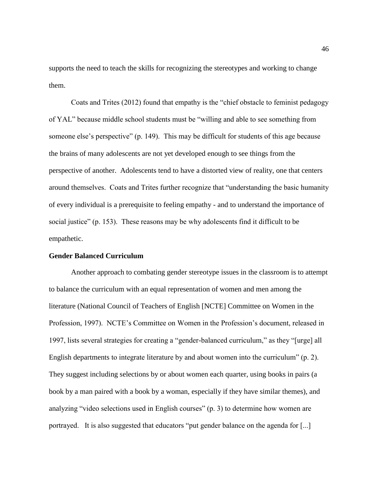supports the need to teach the skills for recognizing the stereotypes and working to change them.

Coats and Trites (2012) found that empathy is the "chief obstacle to feminist pedagogy of YAL" because middle school students must be "willing and able to see something from someone else's perspective" (p. 149). This may be difficult for students of this age because the brains of many adolescents are not yet developed enough to see things from the perspective of another. Adolescents tend to have a distorted view of reality, one that centers around themselves. Coats and Trites further recognize that "understanding the basic humanity of every individual is a prerequisite to feeling empathy - and to understand the importance of social justice" (p. 153). These reasons may be why adolescents find it difficult to be empathetic.

## **Gender Balanced Curriculum**

Another approach to combating gender stereotype issues in the classroom is to attempt to balance the curriculum with an equal representation of women and men among the literature (National Council of Teachers of English [NCTE] Committee on Women in the Profession, 1997). NCTE's Committee on Women in the Profession's document, released in 1997, lists several strategies for creating a "gender-balanced curriculum," as they "[urge] all English departments to integrate literature by and about women into the curriculum" (p. 2). They suggest including selections by or about women each quarter, using books in pairs (a book by a man paired with a book by a woman, especially if they have similar themes), and analyzing "video selections used in English courses" (p. 3) to determine how women are portrayed. It is also suggested that educators "put gender balance on the agenda for [...]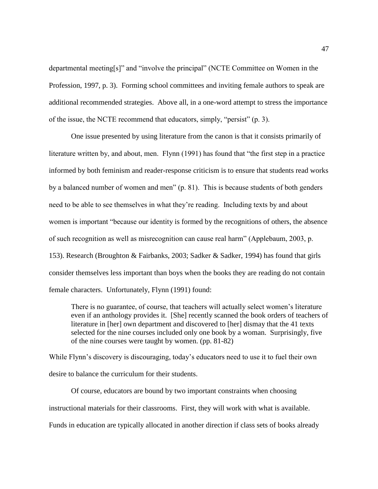departmental meeting[s]" and "involve the principal" (NCTE Committee on Women in the Profession, 1997, p. 3). Forming school committees and inviting female authors to speak are additional recommended strategies. Above all, in a one-word attempt to stress the importance of the issue, the NCTE recommend that educators, simply, "persist" (p. 3).

One issue presented by using literature from the canon is that it consists primarily of literature written by, and about, men. Flynn (1991) has found that "the first step in a practice informed by both feminism and reader-response criticism is to ensure that students read works by a balanced number of women and men" (p. 81). This is because students of both genders need to be able to see themselves in what they're reading. Including texts by and about women is important "because our identity is formed by the recognitions of others, the absence of such recognition as well as misrecognition can cause real harm" (Applebaum, 2003, p. 153). Research (Broughton & Fairbanks, 2003; Sadker & Sadker, 1994) has found that girls consider themselves less important than boys when the books they are reading do not contain female characters. Unfortunately, Flynn (1991) found:

There is no guarantee, of course, that teachers will actually select women's literature even if an anthology provides it. [She] recently scanned the book orders of teachers of literature in [her] own department and discovered to [her] dismay that the 41 texts selected for the nine courses included only one book by a woman. Surprisingly, five of the nine courses were taught by women. (pp. 81-82)

While Flynn's discovery is discouraging, today's educators need to use it to fuel their own desire to balance the curriculum for their students.

Of course, educators are bound by two important constraints when choosing instructional materials for their classrooms. First, they will work with what is available. Funds in education are typically allocated in another direction if class sets of books already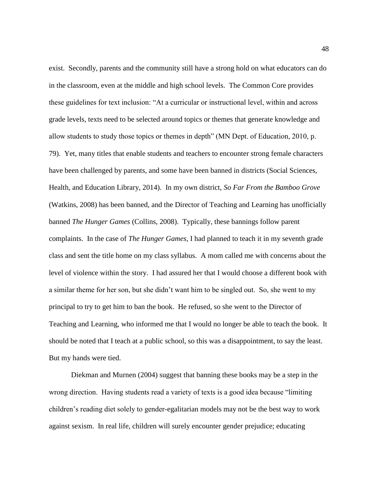exist. Secondly, parents and the community still have a strong hold on what educators can do in the classroom, even at the middle and high school levels. The Common Core provides these guidelines for text inclusion: "At a curricular or instructional level, within and across grade levels, texts need to be selected around topics or themes that generate knowledge and allow students to study those topics or themes in depth" (MN Dept. of Education, 2010, p. 79). Yet, many titles that enable students and teachers to encounter strong female characters have been challenged by parents, and some have been banned in districts (Social Sciences, Health, and Education Library, 2014). In my own district, *So Far From the Bamboo Grove* (Watkins, 2008) has been banned, and the Director of Teaching and Learning has unofficially banned *The Hunger Games* (Collins, 2008). Typically, these bannings follow parent complaints. In the case of *The Hunger Games*, I had planned to teach it in my seventh grade class and sent the title home on my class syllabus. A mom called me with concerns about the level of violence within the story. I had assured her that I would choose a different book with a similar theme for her son, but she didn't want him to be singled out. So, she went to my principal to try to get him to ban the book. He refused, so she went to the Director of Teaching and Learning, who informed me that I would no longer be able to teach the book. It should be noted that I teach at a public school, so this was a disappointment, to say the least. But my hands were tied.

Diekman and Murnen (2004) suggest that banning these books may be a step in the wrong direction. Having students read a variety of texts is a good idea because "limiting children's reading diet solely to gender-egalitarian models may not be the best way to work against sexism. In real life, children will surely encounter gender prejudice; educating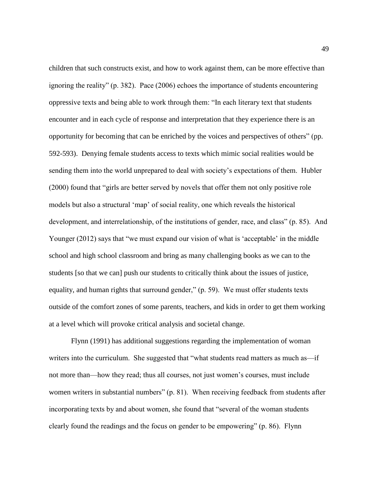children that such constructs exist, and how to work against them, can be more effective than ignoring the reality" (p. 382). Pace (2006) echoes the importance of students encountering oppressive texts and being able to work through them: "In each literary text that students encounter and in each cycle of response and interpretation that they experience there is an opportunity for becoming that can be enriched by the voices and perspectives of others" (pp. 592-593). Denying female students access to texts which mimic social realities would be sending them into the world unprepared to deal with society's expectations of them. Hubler (2000) found that "girls are better served by novels that offer them not only positive role models but also a structural 'map' of social reality, one which reveals the historical development, and interrelationship, of the institutions of gender, race, and class" (p. 85). And Younger (2012) says that "we must expand our vision of what is 'acceptable' in the middle school and high school classroom and bring as many challenging books as we can to the students [so that we can] push our students to critically think about the issues of justice, equality, and human rights that surround gender," (p. 59). We must offer students texts outside of the comfort zones of some parents, teachers, and kids in order to get them working at a level which will provoke critical analysis and societal change.

Flynn (1991) has additional suggestions regarding the implementation of woman writers into the curriculum. She suggested that "what students read matters as much as—if not more than—how they read; thus all courses, not just women's courses, must include women writers in substantial numbers" (p. 81). When receiving feedback from students after incorporating texts by and about women, she found that "several of the woman students clearly found the readings and the focus on gender to be empowering" (p. 86). Flynn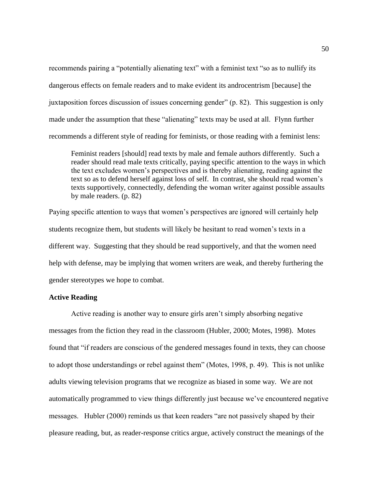recommends pairing a "potentially alienating text" with a feminist text "so as to nullify its dangerous effects on female readers and to make evident its androcentrism [because] the juxtaposition forces discussion of issues concerning gender" (p. 82). This suggestion is only made under the assumption that these "alienating" texts may be used at all. Flynn further recommends a different style of reading for feminists, or those reading with a feminist lens:

Feminist readers [should] read texts by male and female authors differently. Such a reader should read male texts critically, paying specific attention to the ways in which the text excludes women's perspectives and is thereby alienating, reading against the text so as to defend herself against loss of self. In contrast, she should read women's texts supportively, connectedly, defending the woman writer against possible assaults by male readers. (p. 82)

Paying specific attention to ways that women's perspectives are ignored will certainly help students recognize them, but students will likely be hesitant to read women's texts in a different way. Suggesting that they should be read supportively, and that the women need help with defense, may be implying that women writers are weak, and thereby furthering the gender stereotypes we hope to combat.

## **Active Reading**

Active reading is another way to ensure girls aren't simply absorbing negative messages from the fiction they read in the classroom (Hubler, 2000; Motes, 1998). Motes found that "if readers are conscious of the gendered messages found in texts, they can choose to adopt those understandings or rebel against them" (Motes, 1998, p. 49). This is not unlike adults viewing television programs that we recognize as biased in some way. We are not automatically programmed to view things differently just because we've encountered negative messages. Hubler (2000) reminds us that keen readers "are not passively shaped by their pleasure reading, but, as reader-response critics argue, actively construct the meanings of the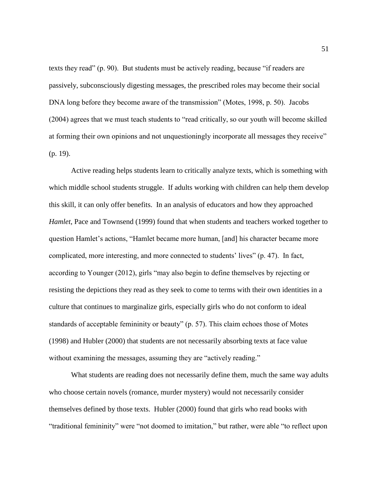texts they read" (p. 90). But students must be actively reading, because "if readers are passively, subconsciously digesting messages, the prescribed roles may become their social DNA long before they become aware of the transmission" (Motes, 1998, p. 50). Jacobs (2004) agrees that we must teach students to "read critically, so our youth will become skilled at forming their own opinions and not unquestioningly incorporate all messages they receive" (p. 19).

Active reading helps students learn to critically analyze texts, which is something with which middle school students struggle. If adults working with children can help them develop this skill, it can only offer benefits. In an analysis of educators and how they approached *Hamlet*, Pace and Townsend (1999) found that when students and teachers worked together to question Hamlet's actions, "Hamlet became more human, [and] his character became more complicated, more interesting, and more connected to students' lives" (p. 47). In fact, according to Younger (2012), girls "may also begin to define themselves by rejecting or resisting the depictions they read as they seek to come to terms with their own identities in a culture that continues to marginalize girls, especially girls who do not conform to ideal standards of acceptable femininity or beauty" (p. 57). This claim echoes those of Motes (1998) and Hubler (2000) that students are not necessarily absorbing texts at face value without examining the messages, assuming they are "actively reading."

What students are reading does not necessarily define them, much the same way adults who choose certain novels (romance, murder mystery) would not necessarily consider themselves defined by those texts. Hubler (2000) found that girls who read books with "traditional femininity" were "not doomed to imitation," but rather, were able "to reflect upon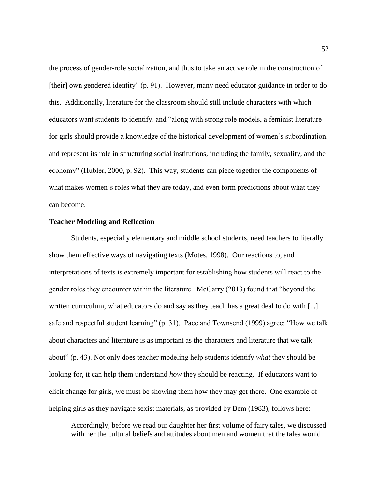the process of gender-role socialization, and thus to take an active role in the construction of [their] own gendered identity" (p. 91). However, many need educator guidance in order to do this. Additionally, literature for the classroom should still include characters with which educators want students to identify, and "along with strong role models, a feminist literature for girls should provide a knowledge of the historical development of women's subordination, and represent its role in structuring social institutions, including the family, sexuality, and the economy" (Hubler, 2000, p. 92). This way, students can piece together the components of what makes women's roles what they are today, and even form predictions about what they can become.

## **Teacher Modeling and Reflection**

Students, especially elementary and middle school students, need teachers to literally show them effective ways of navigating texts (Motes, 1998). Our reactions to, and interpretations of texts is extremely important for establishing how students will react to the gender roles they encounter within the literature. McGarry (2013) found that "beyond the written curriculum, what educators do and say as they teach has a great deal to do with [...] safe and respectful student learning" (p. 31). Pace and Townsend (1999) agree: "How we talk about characters and literature is as important as the characters and literature that we talk about" (p. 43). Not only does teacher modeling help students identify *what* they should be looking for, it can help them understand *how* they should be reacting. If educators want to elicit change for girls, we must be showing them how they may get there. One example of helping girls as they navigate sexist materials, as provided by Bem (1983), follows here:

Accordingly, before we read our daughter her first volume of fairy tales, we discussed with her the cultural beliefs and attitudes about men and women that the tales would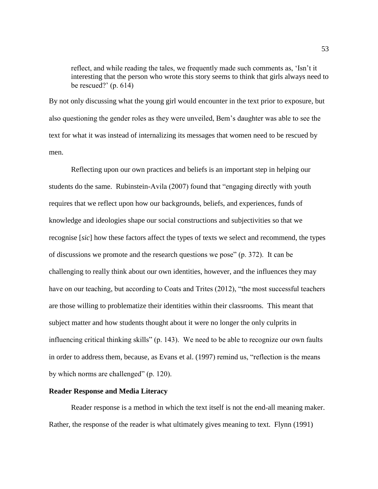reflect, and while reading the tales, we frequently made such comments as, 'Isn't it interesting that the person who wrote this story seems to think that girls always need to be rescued?' (p. 614)

By not only discussing what the young girl would encounter in the text prior to exposure, but also questioning the gender roles as they were unveiled, Bem's daughter was able to see the text for what it was instead of internalizing its messages that women need to be rescued by men.

Reflecting upon our own practices and beliefs is an important step in helping our students do the same. Rubinstein-Avila (2007) found that "engaging directly with youth requires that we reflect upon how our backgrounds, beliefs, and experiences, funds of knowledge and ideologies shape our social constructions and subjectivities so that we recognise [*sic*] how these factors affect the types of texts we select and recommend, the types of discussions we promote and the research questions we pose" (p. 372). It can be challenging to really think about our own identities, however, and the influences they may have on our teaching, but according to Coats and Trites (2012), "the most successful teachers are those willing to problematize their identities within their classrooms. This meant that subject matter and how students thought about it were no longer the only culprits in influencing critical thinking skills" (p. 143). We need to be able to recognize our own faults in order to address them, because, as Evans et al. (1997) remind us, "reflection is the means by which norms are challenged" (p. 120).

## **Reader Response and Media Literacy**

Reader response is a method in which the text itself is not the end-all meaning maker. Rather, the response of the reader is what ultimately gives meaning to text. Flynn (1991)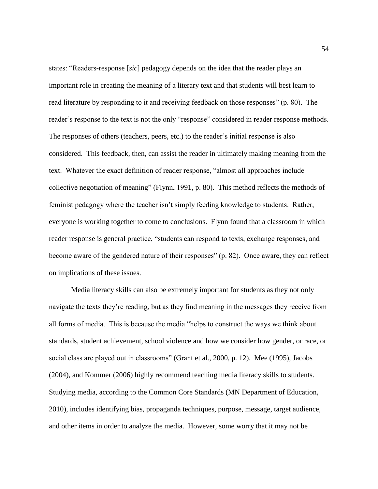states: "Readers-response [*sic*] pedagogy depends on the idea that the reader plays an important role in creating the meaning of a literary text and that students will best learn to read literature by responding to it and receiving feedback on those responses" (p. 80). The reader's response to the text is not the only "response" considered in reader response methods. The responses of others (teachers, peers, etc.) to the reader's initial response is also considered. This feedback, then, can assist the reader in ultimately making meaning from the text. Whatever the exact definition of reader response, "almost all approaches include collective negotiation of meaning" (Flynn, 1991, p. 80). This method reflects the methods of feminist pedagogy where the teacher isn't simply feeding knowledge to students. Rather, everyone is working together to come to conclusions. Flynn found that a classroom in which reader response is general practice, "students can respond to texts, exchange responses, and become aware of the gendered nature of their responses" (p. 82). Once aware, they can reflect on implications of these issues.

Media literacy skills can also be extremely important for students as they not only navigate the texts they're reading, but as they find meaning in the messages they receive from all forms of media. This is because the media "helps to construct the ways we think about standards, student achievement, school violence and how we consider how gender, or race, or social class are played out in classrooms" (Grant et al., 2000, p. 12). Mee (1995), Jacobs (2004), and Kommer (2006) highly recommend teaching media literacy skills to students. Studying media, according to the Common Core Standards (MN Department of Education, 2010), includes identifying bias, propaganda techniques, purpose, message, target audience, and other items in order to analyze the media. However, some worry that it may not be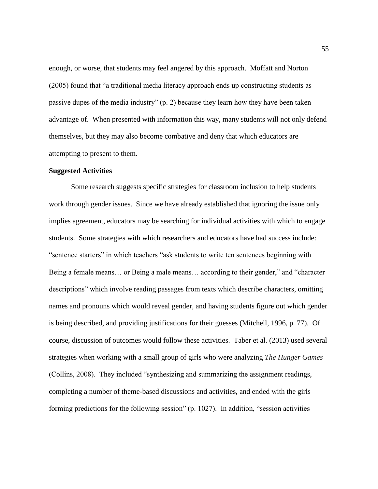enough, or worse, that students may feel angered by this approach. Moffatt and Norton (2005) found that "a traditional media literacy approach ends up constructing students as passive dupes of the media industry" (p. 2) because they learn how they have been taken advantage of. When presented with information this way, many students will not only defend themselves, but they may also become combative and deny that which educators are attempting to present to them.

## **Suggested Activities**

Some research suggests specific strategies for classroom inclusion to help students work through gender issues. Since we have already established that ignoring the issue only implies agreement, educators may be searching for individual activities with which to engage students. Some strategies with which researchers and educators have had success include: "sentence starters" in which teachers "ask students to write ten sentences beginning with Being a female means… or Being a male means… according to their gender," and "character descriptions" which involve reading passages from texts which describe characters, omitting names and pronouns which would reveal gender, and having students figure out which gender is being described, and providing justifications for their guesses (Mitchell, 1996, p. 77). Of course, discussion of outcomes would follow these activities. Taber et al. (2013) used several strategies when working with a small group of girls who were analyzing *The Hunger Games* (Collins, 2008). They included "synthesizing and summarizing the assignment readings, completing a number of theme-based discussions and activities, and ended with the girls forming predictions for the following session" (p. 1027). In addition, "session activities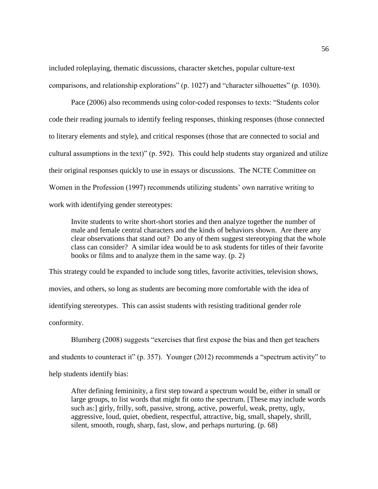included roleplaying, thematic discussions, character sketches, popular culture-text comparisons, and relationship explorations" (p. 1027) and "character silhouettes" (p. 1030).

Pace (2006) also recommends using color-coded responses to texts: "Students color code their reading journals to identify feeling responses, thinking responses (those connected to literary elements and style), and critical responses (those that are connected to social and cultural assumptions in the text)" (p. 592). This could help students stay organized and utilize their original responses quickly to use in essays or discussions. The NCTE Committee on Women in the Profession (1997) recommends utilizing students' own narrative writing to work with identifying gender stereotypes:

Invite students to write short-short stories and then analyze together the number of male and female central characters and the kinds of behaviors shown. Are there any clear observations that stand out? Do any of them suggest stereotyping that the whole class can consider? A similar idea would be to ask students for titles of their favorite books or films and to analyze them in the same way. (p. 2)

This strategy could be expanded to include song titles, favorite activities, television shows, movies, and others, so long as students are becoming more comfortable with the idea of identifying stereotypes. This can assist students with resisting traditional gender role conformity.

Blumberg (2008) suggests "exercises that first expose the bias and then get teachers and students to counteract it" (p. 357). Younger (2012) recommends a "spectrum activity" to help students identify bias:

After defining femininity, a first step toward a spectrum would be, either in small or large groups, to list words that might fit onto the spectrum. [These may include words such as:] girly, frilly, soft, passive, strong, active, powerful, weak, pretty, ugly, aggressive, loud, quiet, obedient, respectful, attractive, big, small, shapely, shrill, silent, smooth, rough, sharp, fast, slow, and perhaps nurturing. (p. 68)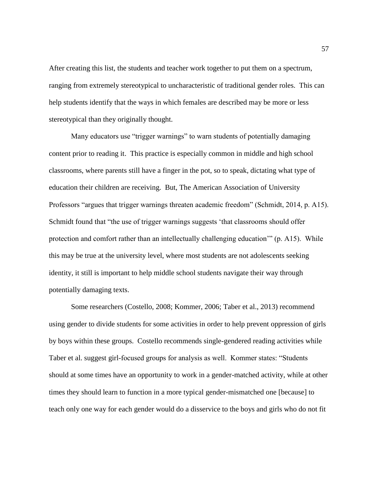After creating this list, the students and teacher work together to put them on a spectrum, ranging from extremely stereotypical to uncharacteristic of traditional gender roles. This can help students identify that the ways in which females are described may be more or less stereotypical than they originally thought.

Many educators use "trigger warnings" to warn students of potentially damaging content prior to reading it. This practice is especially common in middle and high school classrooms, where parents still have a finger in the pot, so to speak, dictating what type of education their children are receiving. But, The American Association of University Professors "argues that trigger warnings threaten academic freedom" (Schmidt, 2014, p. A15). Schmidt found that "the use of trigger warnings suggests 'that classrooms should offer protection and comfort rather than an intellectually challenging education'" (p. A15). While this may be true at the university level, where most students are not adolescents seeking identity, it still is important to help middle school students navigate their way through potentially damaging texts.

Some researchers (Costello, 2008; Kommer, 2006; Taber et al., 2013) recommend using gender to divide students for some activities in order to help prevent oppression of girls by boys within these groups. Costello recommends single-gendered reading activities while Taber et al. suggest girl-focused groups for analysis as well. Kommer states: "Students should at some times have an opportunity to work in a gender-matched activity, while at other times they should learn to function in a more typical gender-mismatched one [because] to teach only one way for each gender would do a disservice to the boys and girls who do not fit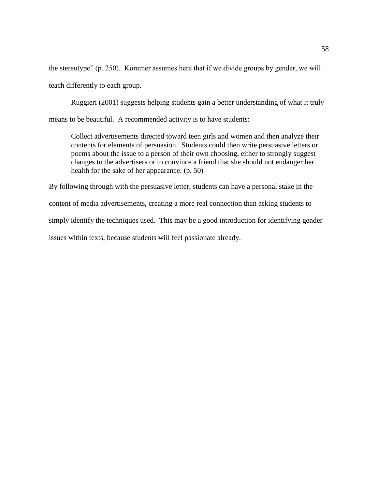the stereotype" (p. 250). Kommer assumes here that if we divide groups by gender, we will teach differently to each group.

Ruggieri (2001) suggests helping students gain a better understanding of what it truly means to be beautiful. A recommended activity is to have students:

Collect advertisements directed toward teen girls and women and then analyze their contents for elements of persuasion. Students could then write persuasive letters or poems about the issue to a person of their own choosing, either to strongly suggest changes to the advertisers or to convince a friend that she should not endanger her health for the sake of her appearance. (p. 50)

By following through with the persuasive letter, students can have a personal stake in the content of media advertisements, creating a more real connection than asking students to simply identify the techniques used. This may be a good introduction for identifying gender issues within texts, because students will feel passionate already.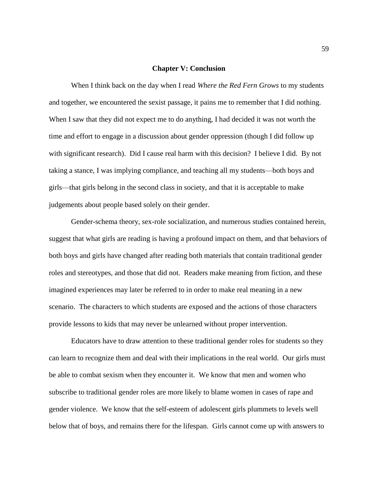### **Chapter V: Conclusion**

When I think back on the day when I read *Where the Red Fern Grows* to my students and together, we encountered the sexist passage, it pains me to remember that I did nothing. When I saw that they did not expect me to do anything, I had decided it was not worth the time and effort to engage in a discussion about gender oppression (though I did follow up with significant research). Did I cause real harm with this decision? I believe I did. By not taking a stance, I was implying compliance, and teaching all my students—both boys and girls—that girls belong in the second class in society, and that it is acceptable to make judgements about people based solely on their gender.

Gender-schema theory, sex-role socialization, and numerous studies contained herein, suggest that what girls are reading is having a profound impact on them, and that behaviors of both boys and girls have changed after reading both materials that contain traditional gender roles and stereotypes, and those that did not. Readers make meaning from fiction, and these imagined experiences may later be referred to in order to make real meaning in a new scenario. The characters to which students are exposed and the actions of those characters provide lessons to kids that may never be unlearned without proper intervention.

Educators have to draw attention to these traditional gender roles for students so they can learn to recognize them and deal with their implications in the real world. Our girls must be able to combat sexism when they encounter it. We know that men and women who subscribe to traditional gender roles are more likely to blame women in cases of rape and gender violence. We know that the self-esteem of adolescent girls plummets to levels well below that of boys, and remains there for the lifespan. Girls cannot come up with answers to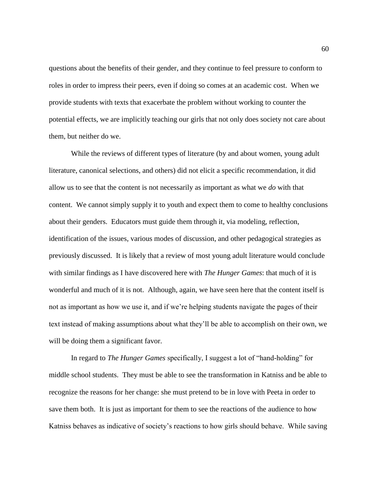questions about the benefits of their gender, and they continue to feel pressure to conform to roles in order to impress their peers, even if doing so comes at an academic cost. When we provide students with texts that exacerbate the problem without working to counter the potential effects, we are implicitly teaching our girls that not only does society not care about them, but neither do we.

While the reviews of different types of literature (by and about women, young adult literature, canonical selections, and others) did not elicit a specific recommendation, it did allow us to see that the content is not necessarily as important as what we *do* with that content. We cannot simply supply it to youth and expect them to come to healthy conclusions about their genders. Educators must guide them through it, via modeling, reflection, identification of the issues, various modes of discussion, and other pedagogical strategies as previously discussed. It is likely that a review of most young adult literature would conclude with similar findings as I have discovered here with *The Hunger Games*: that much of it is wonderful and much of it is not. Although, again, we have seen here that the content itself is not as important as how we use it, and if we're helping students navigate the pages of their text instead of making assumptions about what they'll be able to accomplish on their own, we will be doing them a significant favor.

In regard to *The Hunger Games* specifically, I suggest a lot of "hand-holding" for middle school students. They must be able to see the transformation in Katniss and be able to recognize the reasons for her change: she must pretend to be in love with Peeta in order to save them both. It is just as important for them to see the reactions of the audience to how Katniss behaves as indicative of society's reactions to how girls should behave. While saving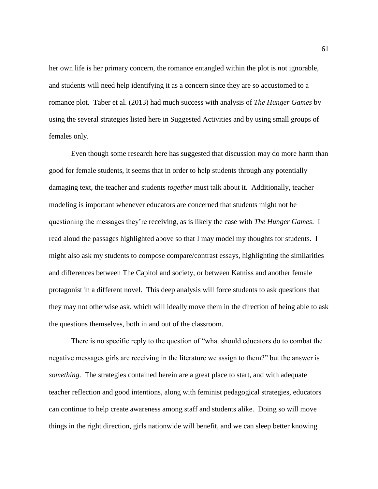her own life is her primary concern, the romance entangled within the plot is not ignorable, and students will need help identifying it as a concern since they are so accustomed to a romance plot. Taber et al. (2013) had much success with analysis of *The Hunger Games* by using the several strategies listed here in Suggested Activities and by using small groups of females only.

Even though some research here has suggested that discussion may do more harm than good for female students, it seems that in order to help students through any potentially damaging text, the teacher and students *together* must talk about it. Additionally, teacher modeling is important whenever educators are concerned that students might not be questioning the messages they're receiving, as is likely the case with *The Hunger Games*. I read aloud the passages highlighted above so that I may model my thoughts for students. I might also ask my students to compose compare/contrast essays, highlighting the similarities and differences between The Capitol and society, or between Katniss and another female protagonist in a different novel. This deep analysis will force students to ask questions that they may not otherwise ask, which will ideally move them in the direction of being able to ask the questions themselves, both in and out of the classroom.

There is no specific reply to the question of "what should educators do to combat the negative messages girls are receiving in the literature we assign to them?" but the answer is *something*. The strategies contained herein are a great place to start, and with adequate teacher reflection and good intentions, along with feminist pedagogical strategies, educators can continue to help create awareness among staff and students alike. Doing so will move things in the right direction, girls nationwide will benefit, and we can sleep better knowing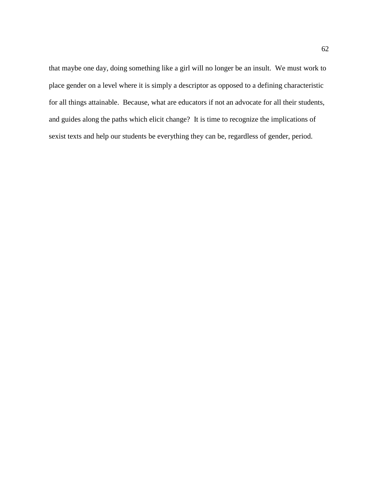that maybe one day, doing something like a girl will no longer be an insult. We must work to place gender on a level where it is simply a descriptor as opposed to a defining characteristic for all things attainable. Because, what are educators if not an advocate for all their students, and guides along the paths which elicit change? It is time to recognize the implications of sexist texts and help our students be everything they can be, regardless of gender, period.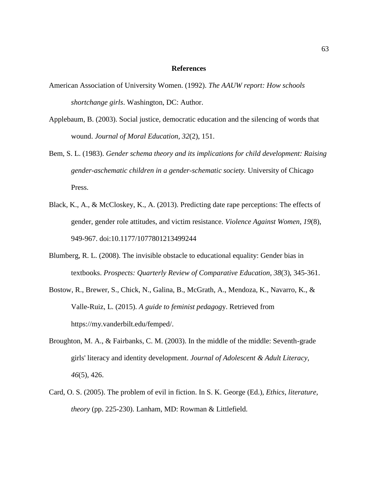### **References**

- American Association of University Women. (1992). *The AAUW report: How schools shortchange girls*. Washington, DC: Author.
- Applebaum, B. (2003). Social justice, democratic education and the silencing of words that wound. *Journal of Moral Education, 32*(2), 151.
- Bem, S. L. (1983). *Gender schema theory and its implications for child development: Raising gender-aschematic children in a gender-schematic society.* University of Chicago Press.
- Black, K., A., & McCloskey, K., A. (2013). Predicting date rape perceptions: The effects of gender, gender role attitudes, and victim resistance. *Violence Against Women, 19*(8), 949-967. doi:10.1177/1077801213499244
- Blumberg, R. L. (2008). The invisible obstacle to educational equality: Gender bias in textbooks. *Prospects: Quarterly Review of Comparative Education, 38*(3), 345-361.
- Bostow, R., Brewer, S., Chick, N., Galina, B., McGrath, A., Mendoza, K., Navarro, K., & Valle-Ruiz, L. (2015). *A guide to feminist pedagog*y. Retrieved from https://my.vanderbilt.edu/femped/.
- Broughton, M. A., & Fairbanks, C. M. (2003). In the middle of the middle: Seventh-grade girls' literacy and identity development. *Journal of Adolescent & Adult Literacy, 46*(5), 426.
- Card, O. S. (2005). The problem of evil in fiction. In S. K. George (Ed.), *Ethics, literature, theory* (pp. 225-230). Lanham, MD: Rowman & Littlefield.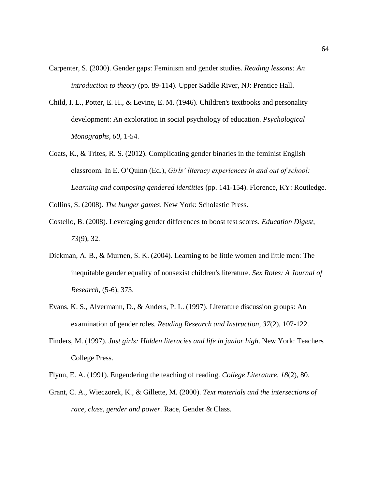- Carpenter, S. (2000). Gender gaps: Feminism and gender studies. *Reading lessons: An introduction to theory* (pp. 89-114). Upper Saddle River, NJ: Prentice Hall.
- Child, I. L., Potter, E. H., & Levine, E. M. (1946). Children's textbooks and personality development: An exploration in social psychology of education. *Psychological Monographs, 60*, 1-54.
- Coats, K., & Trites, R. S. (2012). Complicating gender binaries in the feminist English classroom. In E. O'Quinn (Ed.), *Girls' literacy experiences in and out of school: Learning and composing gendered identities* (pp. 141-154). Florence, KY: Routledge.

Collins, S. (2008). *The hunger games*. New York: Scholastic Press.

- Costello, B. (2008). Leveraging gender differences to boost test scores. *Education Digest, 73*(9), 32.
- Diekman, A. B., & Murnen, S. K. (2004). Learning to be little women and little men: The inequitable gender equality of nonsexist children's literature. *Sex Roles: A Journal of Research,* (5-6), 373.
- Evans, K. S., Alvermann, D., & Anders, P. L. (1997). Literature discussion groups: An examination of gender roles. *Reading Research and Instruction, 37*(2), 107-122.
- Finders, M. (1997). *Just girls: Hidden literacies and life in junior high*. New York: Teachers College Press.
- Flynn, E. A. (1991). Engendering the teaching of reading. *College Literature, 18*(2), 80.
- Grant, C. A., Wieczorek, K., & Gillette, M. (2000). *Text materials and the intersections of race, class, gender and power.* Race, Gender & Class.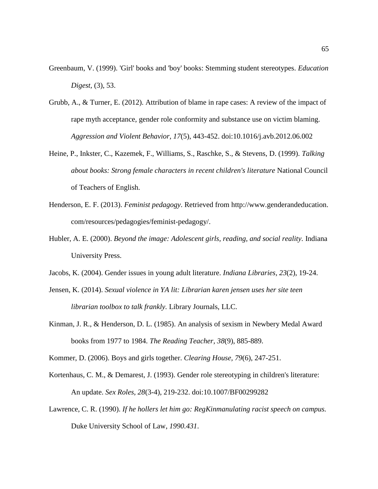- Greenbaum, V. (1999). 'Girl' books and 'boy' books: Stemming student stereotypes. *Education Digest,* (3), 53.
- Grubb, A., & Turner, E. (2012). Attribution of blame in rape cases: A review of the impact of rape myth acceptance, gender role conformity and substance use on victim blaming. *Aggression and Violent Behavior, 17*(5), 443-452. doi:10.1016/j.avb.2012.06.002
- Heine, P., Inkster, C., Kazemek, F., Williams, S., Raschke, S., & Stevens, D. (1999). *Talking about books: Strong female characters in recent children's literature* National Council of Teachers of English.
- Henderson, E. F. (2013). *Feminist pedagogy*. Retrieved from [http://www.genderandeducation.](http://www.genderandeducation/) com/resources/pedagogies/feminist-pedagogy/.
- Hubler, A. E. (2000). *Beyond the image: Adolescent girls, reading, and social reality.* Indiana University Press.
- Jacobs, K. (2004). Gender issues in young adult literature. *Indiana Libraries, 23*(2), 19-24.
- Jensen, K. (2014). *Sexual violence in YA lit: Librarian karen jensen uses her site teen librarian toolbox to talk frankly.* Library Journals, LLC.
- Kinman, J. R., & Henderson, D. L. (1985). An analysis of sexism in Newbery Medal Award books from 1977 to 1984. *The Reading Teacher, 38*(9), 885-889.
- Kommer, D. (2006). Boys and girls together. *Clearing House, 79*(6), 247-251.
- Kortenhaus, C. M., & Demarest, J. (1993). Gender role stereotyping in children's literature: An update. *Sex Roles, 28*(3-4), 219-232. doi:10.1007/BF00299282
- Lawrence, C. R. (1990). *If he hollers let him go: RegKinmanulating racist speech on campus.* Duke University School of Law, *1990.431*.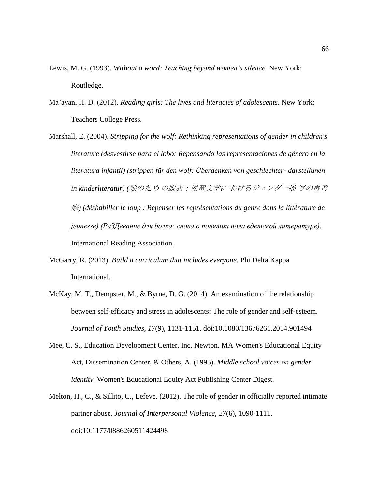- Lewis, M. G. (1993). *Without a word: Teaching beyond women's silence.* New York: Routledge.
- Ma'ayan, H. D. (2012). *Reading girls: The lives and literacies of adolescents*. New York: Teachers College Press.
- Marshall, E. (2004). *Stripping for the wolf: Rethinking representations of gender in children's literature (desvestirse para el lobo: Repensando las representaciones de género en la literatura infantil) (strippen für den wolf: Überdenken von geschlechter- darstellunen in kinderliteratur) (*狼のため の脱衣:児童文学に おけるジェンダー描 写の再考 察*) (déshabiller le loup : Repenser les représentations du genre dans la littérature de jeunesse) (PаЗДевание для boлка: снова o пoнятии пoла вдeтcкoй литepaтуpe).* International Reading Association.
- McGarry, R. (2013). *Build a curriculum that includes everyone.* Phi Delta Kappa International.
- McKay, M. T., Dempster, M., & Byrne, D. G. (2014). An examination of the relationship between self-efficacy and stress in adolescents: The role of gender and self-esteem. *Journal of Youth Studies, 17*(9), 1131-1151. doi:10.1080/13676261.2014.901494
- Mee, C. S., Education Development Center, Inc, Newton, MA Women's Educational Equity Act, Dissemination Center, & Others, A. (1995). *Middle school voices on gender identity.* Women's Educational Equity Act Publishing Center Digest.
- Melton, H., C., & Sillito, C., Lefeve. (2012). The role of gender in officially reported intimate partner abuse. *Journal of Interpersonal Violence, 27*(6), 1090-1111. doi:10.1177/0886260511424498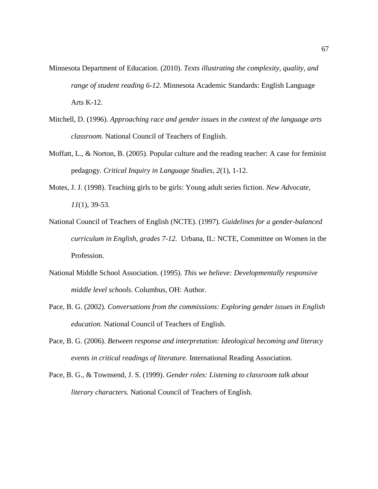- Minnesota Department of Education. (2010). *Texts illustrating the complexity, quality, and range of student reading 6-12*. Minnesota Academic Standards: English Language Arts K-12.
- Mitchell, D. (1996). *Approaching race and gender issues in the context of the language arts classroom.* National Council of Teachers of English.
- Moffatt, L., & Norton, B. (2005). Popular culture and the reading teacher: A case for feminist pedagogy. *Critical Inquiry in Language Studies, 2*(1), 1-12.
- Motes, J. J. (1998). Teaching girls to be girls: Young adult series fiction. *New Advocate, 11*(1), 39-53.
- National Council of Teachers of English (NCTE). (1997). *Guidelines for a gender-balanced curriculum in English, grades 7-12.* Urbana, IL: NCTE, Committee on Women in the Profession.
- National Middle School Association. (1995). *This we believe: Developmentally responsive middle level schools*. Columbus, OH: Author.
- Pace, B. G. (2002). *Conversations from the commissions: Exploring gender issues in English education.* National Council of Teachers of English.
- Pace, B. G. (2006). *Between response and interpretation: Ideological becoming and literacy events in critical readings of literature.* International Reading Association.
- Pace, B. G., & Townsend, J. S. (1999). *Gender roles: Listening to classroom talk about literary characters.* National Council of Teachers of English.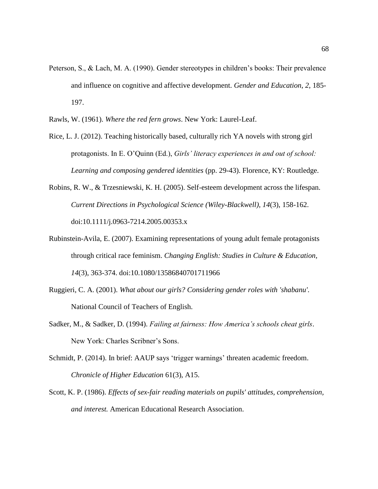- Peterson, S., & Lach, M. A. (1990). Gender stereotypes in children's books: Their prevalence and influence on cognitive and affective development. *Gender and Education*, *2*, 185- 197.
- Rawls, W. (1961). *Where the red fern grows*. New York: Laurel-Leaf.
- Rice, L. J. (2012). Teaching historically based, culturally rich YA novels with strong girl protagonists. In E. O'Quinn (Ed.), *Girls' literacy experiences in and out of school: Learning and composing gendered identities* (pp. 29-43). Florence, KY: Routledge.
- Robins, R. W., & Trzesniewski, K. H. (2005). Self-esteem development across the lifespan. *Current Directions in Psychological Science (Wiley-Blackwell), 14*(3), 158-162. doi:10.1111/j.0963-7214.2005.00353.x
- Rubinstein-Avila, E. (2007). Examining representations of young adult female protagonists through critical race feminism. *Changing English: Studies in Culture & Education, 14*(3), 363-374. doi:10.1080/13586840701711966
- Ruggieri, C. A. (2001). *What about our girls? Considering gender roles with 'shabanu'.* National Council of Teachers of English.
- Sadker, M., & Sadker, D. (1994). *Failing at fairness: How America's schools cheat girls*. New York: Charles Scribner's Sons.
- Schmidt, P. (2014). In brief: AAUP says 'trigger warnings' threaten academic freedom. *Chronicle of Higher Education* 61(3), A15.
- Scott, K. P. (1986). *Effects of sex-fair reading materials on pupils' attitudes, comprehension, and interest.* American Educational Research Association.